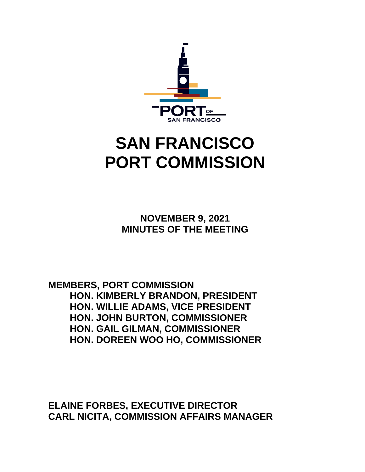

# **SAN FRANCISCO PORT COMMISSION**

**NOVEMBER 9, 2021 MINUTES OF THE MEETING**

**MEMBERS, PORT COMMISSION HON. KIMBERLY BRANDON, PRESIDENT HON. WILLIE ADAMS, VICE PRESIDENT HON. JOHN BURTON, COMMISSIONER HON. GAIL GILMAN, COMMISSIONER HON. DOREEN WOO HO, COMMISSIONER**

**ELAINE FORBES, EXECUTIVE DIRECTOR CARL NICITA, COMMISSION AFFAIRS MANAGER**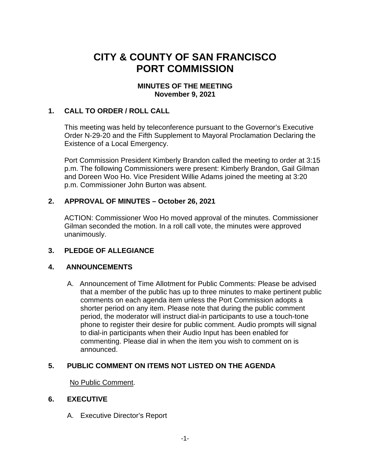# **CITY & COUNTY OF SAN FRANCISCO PORT COMMISSION**

# **MINUTES OF THE MEETING November 9, 2021**

# **1. CALL TO ORDER / ROLL CALL**

This meeting was held by teleconference pursuant to the Governor's Executive Order N-29-20 and the Fifth Supplement to Mayoral Proclamation Declaring the Existence of a Local Emergency.

Port Commission President Kimberly Brandon called the meeting to order at 3:15 p.m. The following Commissioners were present: Kimberly Brandon, Gail Gilman and Doreen Woo Ho. Vice President Willie Adams joined the meeting at 3:20 p.m. Commissioner John Burton was absent.

# **2. APPROVAL OF MINUTES – October 26, 2021**

ACTION: Commissioner Woo Ho moved approval of the minutes. Commissioner Gilman seconded the motion. In a roll call vote, the minutes were approved unanimously.

# **3. PLEDGE OF ALLEGIANCE**

# **4. ANNOUNCEMENTS**

A. Announcement of Time Allotment for Public Comments: Please be advised that a member of the public has up to three minutes to make pertinent public comments on each agenda item unless the Port Commission adopts a shorter period on any item. Please note that during the public comment period, the moderator will instruct dial-in participants to use a touch-tone phone to register their desire for public comment. Audio prompts will signal to dial-in participants when their Audio Input has been enabled for commenting. Please dial in when the item you wish to comment on is announced.

# **5. PUBLIC COMMENT ON ITEMS NOT LISTED ON THE AGENDA**

No Public Comment.

# **6. EXECUTIVE**

A. Executive Director's Report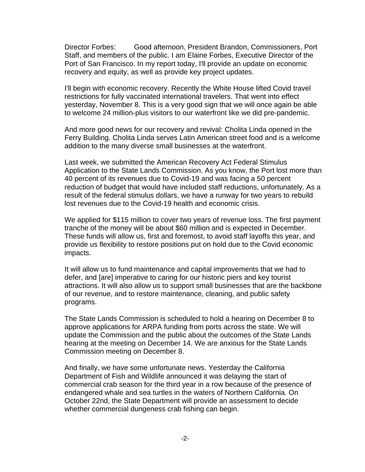Director Forbes: Good afternoon, President Brandon, Commissioners, Port Staff, and members of the public. I am Elaine Forbes, Executive Director of the Port of San Francisco. In my report today, I'll provide an update on economic recovery and equity, as well as provide key project updates.

I'll begin with economic recovery. Recently the White House lifted Covid travel restrictions for fully vaccinated international travelers. That went into effect yesterday, November 8. This is a very good sign that we will once again be able to welcome 24 million-plus visitors to our waterfront like we did pre-pandemic.

And more good news for our recovery and revival: Cholita Linda opened in the Ferry Building. Cholita Linda serves Latin American street food and is a welcome addition to the many diverse small businesses at the waterfront.

Last week, we submitted the American Recovery Act Federal Stimulus Application to the State Lands Commission. As you know, the Port lost more than 40 percent of its revenues due to Covid-19 and was facing a 50 percent reduction of budget that would have included staff reductions, unfortunately. As a result of the federal stimulus dollars, we have a runway for two years to rebuild lost revenues due to the Covid-19 health and economic crisis.

We applied for \$115 million to cover two years of revenue loss. The first payment tranche of the money will be about \$60 million and is expected in December. These funds will allow us, first and foremost, to avoid staff layoffs this year, and provide us flexibility to restore positions put on hold due to the Covid economic impacts.

It will allow us to fund maintenance and capital improvements that we had to defer, and [are] imperative to caring for our historic piers and key tourist attractions. It will also allow us to support small businesses that are the backbone of our revenue, and to restore maintenance, cleaning, and public safety programs.

The State Lands Commission is scheduled to hold a hearing on December 8 to approve applications for ARPA funding from ports across the state. We will update the Commission and the public about the outcomes of the State Lands hearing at the meeting on December 14. We are anxious for the State Lands Commission meeting on December 8.

And finally, we have some unfortunate news. Yesterday the California Department of Fish and Wildlife announced it was delaying the start of commercial crab season for the third year in a row because of the presence of endangered whale and sea turtles in the waters of Northern California. On October 22nd, the State Department will provide an assessment to decide whether commercial dungeness crab fishing can begin.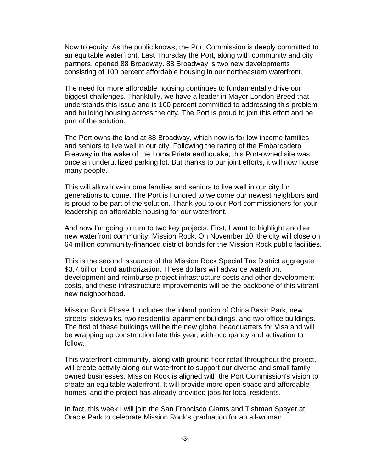Now to equity. As the public knows, the Port Commission is deeply committed to an equitable waterfront. Last Thursday the Port, along with community and city partners, opened 88 Broadway. 88 Broadway is two new developments consisting of 100 percent affordable housing in our northeastern waterfront.

The need for more affordable housing continues to fundamentally drive our biggest challenges. Thankfully, we have a leader in Mayor London Breed that understands this issue and is 100 percent committed to addressing this problem and building housing across the city. The Port is proud to join this effort and be part of the solution.

The Port owns the land at 88 Broadway, which now is for low-income families and seniors to live well in our city. Following the razing of the Embarcadero Freeway in the wake of the Loma Prieta earthquake, this Port-owned site was once an underutilized parking lot. But thanks to our joint efforts, it will now house many people.

This will allow low-income families and seniors to live well in our city for generations to come. The Port is honored to welcome our newest neighbors and is proud to be part of the solution. Thank you to our Port commissioners for your leadership on affordable housing for our waterfront.

And now I'm going to turn to two key projects. First, I want to highlight another new waterfront community: Mission Rock. On November 10, the city will close on 64 million community-financed district bonds for the Mission Rock public facilities.

This is the second issuance of the Mission Rock Special Tax District aggregate \$3.7 billion bond authorization. These dollars will advance waterfront development and reimburse project infrastructure costs and other development costs, and these infrastructure improvements will be the backbone of this vibrant new neighborhood.

Mission Rock Phase 1 includes the inland portion of China Basin Park, new streets, sidewalks, two residential apartment buildings, and two office buildings. The first of these buildings will be the new global headquarters for Visa and will be wrapping up construction late this year, with occupancy and activation to follow.

This waterfront community, along with ground-floor retail throughout the project, will create activity along our waterfront to support our diverse and small familyowned businesses. Mission Rock is aligned with the Port Commission's vision to create an equitable waterfront. It will provide more open space and affordable homes, and the project has already provided jobs for local residents.

In fact, this week I will join the San Francisco Giants and Tishman Speyer at Oracle Park to celebrate Mission Rock's graduation for an all-woman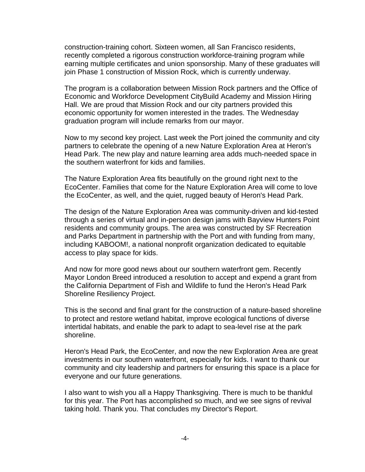construction-training cohort. Sixteen women, all San Francisco residents, recently completed a rigorous construction workforce-training program while earning multiple certificates and union sponsorship. Many of these graduates will join Phase 1 construction of Mission Rock, which is currently underway.

The program is a collaboration between Mission Rock partners and the Office of Economic and Workforce Development CityBuild Academy and Mission Hiring Hall. We are proud that Mission Rock and our city partners provided this economic opportunity for women interested in the trades. The Wednesday graduation program will include remarks from our mayor.

Now to my second key project. Last week the Port joined the community and city partners to celebrate the opening of a new Nature Exploration Area at Heron's Head Park. The new play and nature learning area adds much-needed space in the southern waterfront for kids and families.

The Nature Exploration Area fits beautifully on the ground right next to the EcoCenter. Families that come for the Nature Exploration Area will come to love the EcoCenter, as well, and the quiet, rugged beauty of Heron's Head Park.

The design of the Nature Exploration Area was community-driven and kid-tested through a series of virtual and in-person design jams with Bayview Hunters Point residents and community groups. The area was constructed by SF Recreation and Parks Department in partnership with the Port and with funding from many, including KABOOM!, a national nonprofit organization dedicated to equitable access to play space for kids.

And now for more good news about our southern waterfront gem. Recently Mayor London Breed introduced a resolution to accept and expend a grant from the California Department of Fish and Wildlife to fund the Heron's Head Park Shoreline Resiliency Project.

This is the second and final grant for the construction of a nature-based shoreline to protect and restore wetland habitat, improve ecological functions of diverse intertidal habitats, and enable the park to adapt to sea-level rise at the park shoreline.

Heron's Head Park, the EcoCenter, and now the new Exploration Area are great investments in our southern waterfront, especially for kids. I want to thank our community and city leadership and partners for ensuring this space is a place for everyone and our future generations.

I also want to wish you all a Happy Thanksgiving. There is much to be thankful for this year. The Port has accomplished so much, and we see signs of revival taking hold. Thank you. That concludes my Director's Report.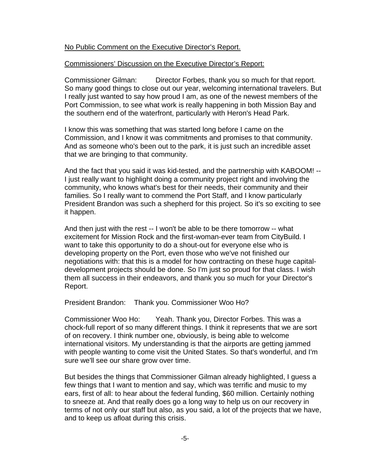#### No Public Comment on the Executive Director's Report.

#### Commissioners' Discussion on the Executive Director's Report:

Commissioner Gilman: Director Forbes, thank you so much for that report. So many good things to close out our year, welcoming international travelers. But I really just wanted to say how proud I am, as one of the newest members of the Port Commission, to see what work is really happening in both Mission Bay and the southern end of the waterfront, particularly with Heron's Head Park.

I know this was something that was started long before I came on the Commission, and I know it was commitments and promises to that community. And as someone who's been out to the park, it is just such an incredible asset that we are bringing to that community.

And the fact that you said it was kid-tested, and the partnership with KABOOM! -- I just really want to highlight doing a community project right and involving the community, who knows what's best for their needs, their community and their families. So I really want to commend the Port Staff, and I know particularly President Brandon was such a shepherd for this project. So it's so exciting to see it happen.

And then just with the rest -- I won't be able to be there tomorrow -- what excitement for Mission Rock and the first-woman-ever team from CityBuild. I want to take this opportunity to do a shout-out for everyone else who is developing property on the Port, even those who we've not finished our negotiations with: that this is a model for how contracting on these huge capitaldevelopment projects should be done. So I'm just so proud for that class. I wish them all success in their endeavors, and thank you so much for your Director's Report.

President Brandon: Thank you. Commissioner Woo Ho?

Commissioner Woo Ho: Yeah. Thank you, Director Forbes. This was a chock-full report of so many different things. I think it represents that we are sort of on recovery. I think number one, obviously, is being able to welcome international visitors. My understanding is that the airports are getting jammed with people wanting to come visit the United States. So that's wonderful, and I'm sure we'll see our share grow over time.

But besides the things that Commissioner Gilman already highlighted, I guess a few things that I want to mention and say, which was terrific and music to my ears, first of all: to hear about the federal funding, \$60 million. Certainly nothing to sneeze at. And that really does go a long way to help us on our recovery in terms of not only our staff but also, as you said, a lot of the projects that we have, and to keep us afloat during this crisis.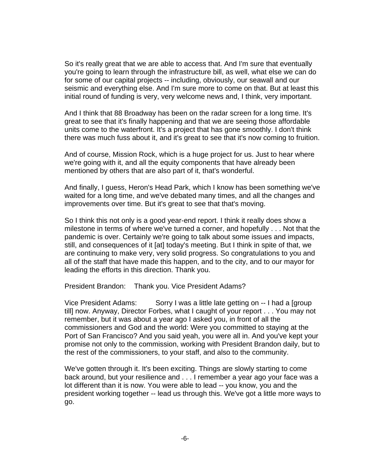So it's really great that we are able to access that. And I'm sure that eventually you're going to learn through the infrastructure bill, as well, what else we can do for some of our capital projects -- including, obviously, our seawall and our seismic and everything else. And I'm sure more to come on that. But at least this initial round of funding is very, very welcome news and, I think, very important.

And I think that 88 Broadway has been on the radar screen for a long time. It's great to see that it's finally happening and that we are seeing those affordable units come to the waterfront. It's a project that has gone smoothly. I don't think there was much fuss about it, and it's great to see that it's now coming to fruition.

And of course, Mission Rock, which is a huge project for us. Just to hear where we're going with it, and all the equity components that have already been mentioned by others that are also part of it, that's wonderful.

And finally, I guess, Heron's Head Park, which I know has been something we've waited for a long time, and we've debated many times, and all the changes and improvements over time. But it's great to see that that's moving.

So I think this not only is a good year-end report. I think it really does show a milestone in terms of where we've turned a corner, and hopefully . . . Not that the pandemic is over. Certainly we're going to talk about some issues and impacts, still, and consequences of it [at] today's meeting. But I think in spite of that, we are continuing to make very, very solid progress. So congratulations to you and all of the staff that have made this happen, and to the city, and to our mayor for leading the efforts in this direction. Thank you.

President Brandon: Thank you. Vice President Adams?

Vice President Adams: Sorry I was a little late getting on -- I had a [group till] now. Anyway, Director Forbes, what I caught of your report . . . You may not remember, but it was about a year ago I asked you, in front of all the commissioners and God and the world: Were you committed to staying at the Port of San Francisco? And you said yeah, you were all in. And you've kept your promise not only to the commission, working with President Brandon daily, but to the rest of the commissioners, to your staff, and also to the community.

We've gotten through it. It's been exciting. Things are slowly starting to come back around, but your resilience and . . . I remember a year ago your face was a lot different than it is now. You were able to lead -- you know, you and the president working together -- lead us through this. We've got a little more ways to go.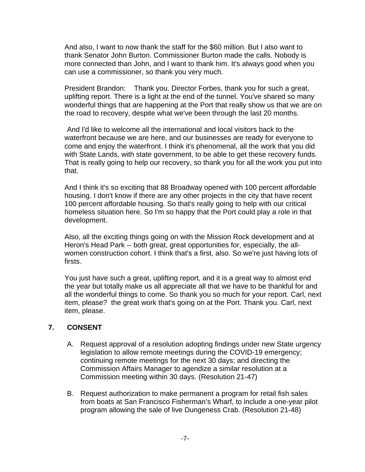And also, I want to now thank the staff for the \$60 million. But I also want to thank Senator John Burton. Commissioner Burton made the calls. Nobody is more connected than John, and I want to thank him. It's always good when you can use a commissioner, so thank you very much.

President Brandon: Thank you. Director Forbes, thank you for such a great, uplifting report. There is a light at the end of the tunnel. You've shared so many wonderful things that are happening at the Port that really show us that we are on the road to recovery, despite what we've been through the last 20 months.

And I'd like to welcome all the international and local visitors back to the waterfront because we are here, and our businesses are ready for everyone to come and enjoy the waterfront. I think it's phenomenal, all the work that you did with State Lands, with state government, to be able to get these recovery funds. That is really going to help our recovery, so thank you for all the work you put into that.

And I think it's so exciting that 88 Broadway opened with 100 percent affordable housing. I don't know if there are any other projects in the city that have recent 100 percent affordable housing. So that's really going to help with our critical homeless situation here. So I'm so happy that the Port could play a role in that development.

Also, all the exciting things going on with the Mission Rock development and at Heron's Head Park -- both great, great opportunities for, especially, the allwomen construction cohort. I think that's a first, also. So we're just having lots of firsts.

You just have such a great, uplifting report, and it is a great way to almost end the year but totally make us all appreciate all that we have to be thankful for and all the wonderful things to come. So thank you so much for your report. Carl, next item, please? the great work that's going on at the Port. Thank you. Carl, next item, please.

# **7. CONSENT**

- A. Request approval of a resolution adopting findings under new State urgency legislation to allow remote meetings during the COVID-19 emergency; continuing remote meetings for the next 30 days; and directing the Commission Affairs Manager to agendize a similar resolution at a Commission meeting within 30 days. (Resolution 21-47)
- B. Request authorization to make permanent a program for retail fish sales from boats at San Francisco Fisherman's Wharf, to include a one-year pilot program allowing the sale of live Dungeness Crab. (Resolution 21-48)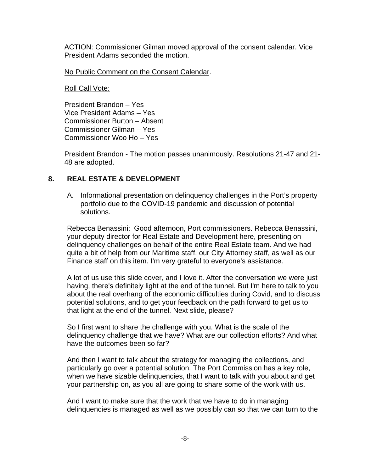ACTION: Commissioner Gilman moved approval of the consent calendar. Vice President Adams seconded the motion.

No Public Comment on the Consent Calendar.

Roll Call Vote:

President Brandon – Yes Vice President Adams – Yes Commissioner Burton – Absent Commissioner Gilman – Yes Commissioner Woo Ho – Yes

President Brandon - The motion passes unanimously. Resolutions 21-47 and 21- 48 are adopted.

# **8. REAL ESTATE & DEVELOPMENT**

A. Informational presentation on delinquency challenges in the Port's property portfolio due to the COVID-19 pandemic and discussion of potential solutions.

Rebecca Benassini: Good afternoon, Port commissioners. Rebecca Benassini, your deputy director for Real Estate and Development here, presenting on delinquency challenges on behalf of the entire Real Estate team. And we had quite a bit of help from our Maritime staff, our City Attorney staff, as well as our Finance staff on this item. I'm very grateful to everyone's assistance.

A lot of us use this slide cover, and I love it. After the conversation we were just having, there's definitely light at the end of the tunnel. But I'm here to talk to you about the real overhang of the economic difficulties during Covid, and to discuss potential solutions, and to get your feedback on the path forward to get us to that light at the end of the tunnel. Next slide, please?

So I first want to share the challenge with you. What is the scale of the delinquency challenge that we have? What are our collection efforts? And what have the outcomes been so far?

And then I want to talk about the strategy for managing the collections, and particularly go over a potential solution. The Port Commission has a key role, when we have sizable delinquencies, that I want to talk with you about and get your partnership on, as you all are going to share some of the work with us.

And I want to make sure that the work that we have to do in managing delinquencies is managed as well as we possibly can so that we can turn to the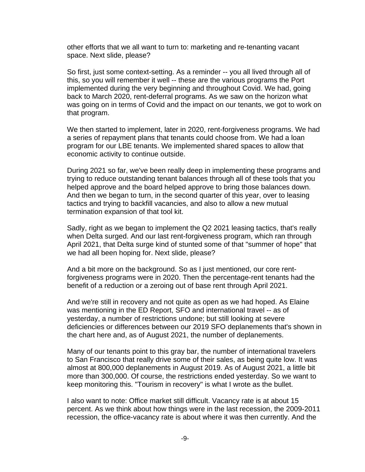other efforts that we all want to turn to: marketing and re-tenanting vacant space. Next slide, please?

So first, just some context-setting. As a reminder -- you all lived through all of this, so you will remember it well -- these are the various programs the Port implemented during the very beginning and throughout Covid. We had, going back to March 2020, rent-deferral programs. As we saw on the horizon what was going on in terms of Covid and the impact on our tenants, we got to work on that program.

We then started to implement, later in 2020, rent-forgiveness programs. We had a series of repayment plans that tenants could choose from. We had a loan program for our LBE tenants. We implemented shared spaces to allow that economic activity to continue outside.

During 2021 so far, we've been really deep in implementing these programs and trying to reduce outstanding tenant balances through all of these tools that you helped approve and the board helped approve to bring those balances down. And then we began to turn, in the second quarter of this year, over to leasing tactics and trying to backfill vacancies, and also to allow a new mutual termination expansion of that tool kit.

Sadly, right as we began to implement the Q2 2021 leasing tactics, that's really when Delta surged. And our last rent-forgiveness program, which ran through April 2021, that Delta surge kind of stunted some of that "summer of hope" that we had all been hoping for. Next slide, please?

And a bit more on the background. So as I just mentioned, our core rentforgiveness programs were in 2020. Then the percentage-rent tenants had the benefit of a reduction or a zeroing out of base rent through April 2021.

And we're still in recovery and not quite as open as we had hoped. As Elaine was mentioning in the ED Report, SFO and international travel -- as of yesterday, a number of restrictions undone; but still looking at severe deficiencies or differences between our 2019 SFO deplanements that's shown in the chart here and, as of August 2021, the number of deplanements.

Many of our tenants point to this gray bar, the number of international travelers to San Francisco that really drive some of their sales, as being quite low. It was almost at 800,000 deplanements in August 2019. As of August 2021, a little bit more than 300,000. Of course, the restrictions ended yesterday. So we want to keep monitoring this. "Tourism in recovery" is what I wrote as the bullet.

I also want to note: Office market still difficult. Vacancy rate is at about 15 percent. As we think about how things were in the last recession, the 2009-2011 recession, the office-vacancy rate is about where it was then currently. And the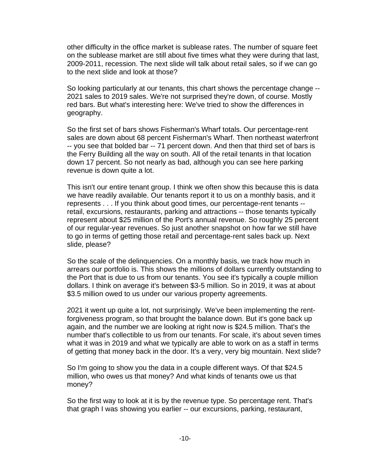other difficulty in the office market is sublease rates. The number of square feet on the sublease market are still about five times what they were during that last, 2009-2011, recession. The next slide will talk about retail sales, so if we can go to the next slide and look at those?

So looking particularly at our tenants, this chart shows the percentage change -- 2021 sales to 2019 sales. We're not surprised they're down, of course. Mostly red bars. But what's interesting here: We've tried to show the differences in geography.

So the first set of bars shows Fisherman's Wharf totals. Our percentage-rent sales are down about 68 percent Fisherman's Wharf. Then northeast waterfront -- you see that bolded bar -- 71 percent down. And then that third set of bars is the Ferry Building all the way on south. All of the retail tenants in that location down 17 percent. So not nearly as bad, although you can see here parking revenue is down quite a lot.

This isn't our entire tenant group. I think we often show this because this is data we have readily available. Our tenants report it to us on a monthly basis, and it represents . . . If you think about good times, our percentage-rent tenants - retail, excursions, restaurants, parking and attractions -- those tenants typically represent about \$25 million of the Port's annual revenue. So roughly 25 percent of our regular-year revenues. So just another snapshot on how far we still have to go in terms of getting those retail and percentage-rent sales back up. Next slide, please?

So the scale of the delinquencies. On a monthly basis, we track how much in arrears our portfolio is. This shows the millions of dollars currently outstanding to the Port that is due to us from our tenants. You see it's typically a couple million dollars. I think on average it's between \$3-5 million. So in 2019, it was at about \$3.5 million owed to us under our various property agreements.

2021 it went up quite a lot, not surprisingly. We've been implementing the rentforgiveness program, so that brought the balance down. But it's gone back up again, and the number we are looking at right now is \$24.5 million. That's the number that's collectible to us from our tenants. For scale, it's about seven times what it was in 2019 and what we typically are able to work on as a staff in terms of getting that money back in the door. It's a very, very big mountain. Next slide?

So I'm going to show you the data in a couple different ways. Of that \$24.5 million, who owes us that money? And what kinds of tenants owe us that money?

So the first way to look at it is by the revenue type. So percentage rent. That's that graph I was showing you earlier -- our excursions, parking, restaurant,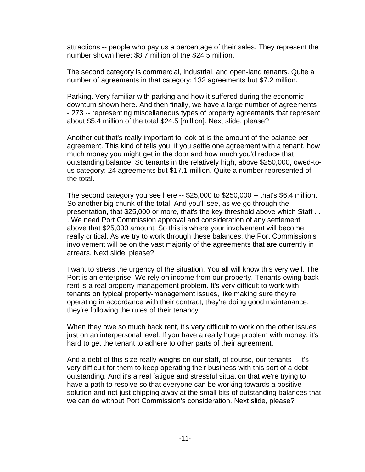attractions -- people who pay us a percentage of their sales. They represent the number shown here: \$8.7 million of the \$24.5 million.

The second category is commercial, industrial, and open-land tenants. Quite a number of agreements in that category: 132 agreements but \$7.2 million.

Parking. Very familiar with parking and how it suffered during the economic downturn shown here. And then finally, we have a large number of agreements - - 273 -- representing miscellaneous types of property agreements that represent about \$5.4 million of the total \$24.5 [million]. Next slide, please?

Another cut that's really important to look at is the amount of the balance per agreement. This kind of tells you, if you settle one agreement with a tenant, how much money you might get in the door and how much you'd reduce that outstanding balance. So tenants in the relatively high, above \$250,000, owed-tous category: 24 agreements but \$17.1 million. Quite a number represented of the total.

The second category you see here -- \$25,000 to \$250,000 -- that's \$6.4 million. So another big chunk of the total. And you'll see, as we go through the presentation, that \$25,000 or more, that's the key threshold above which Staff . . . We need Port Commission approval and consideration of any settlement above that \$25,000 amount. So this is where your involvement will become really critical. As we try to work through these balances, the Port Commission's involvement will be on the vast majority of the agreements that are currently in arrears. Next slide, please?

I want to stress the urgency of the situation. You all will know this very well. The Port is an enterprise. We rely on income from our property. Tenants owing back rent is a real property-management problem. It's very difficult to work with tenants on typical property-management issues, like making sure they're operating in accordance with their contract, they're doing good maintenance, they're following the rules of their tenancy.

When they owe so much back rent, it's very difficult to work on the other issues just on an interpersonal level. If you have a really huge problem with money, it's hard to get the tenant to adhere to other parts of their agreement.

And a debt of this size really weighs on our staff, of course, our tenants -- it's very difficult for them to keep operating their business with this sort of a debt outstanding. And it's a real fatigue and stressful situation that we're trying to have a path to resolve so that everyone can be working towards a positive solution and not just chipping away at the small bits of outstanding balances that we can do without Port Commission's consideration. Next slide, please?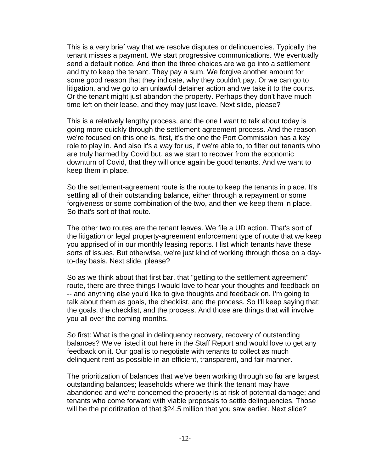This is a very brief way that we resolve disputes or delinquencies. Typically the tenant misses a payment. We start progressive communications. We eventually send a default notice. And then the three choices are we go into a settlement and try to keep the tenant. They pay a sum. We forgive another amount for some good reason that they indicate, why they couldn't pay. Or we can go to litigation, and we go to an unlawful detainer action and we take it to the courts. Or the tenant might just abandon the property. Perhaps they don't have much time left on their lease, and they may just leave. Next slide, please?

This is a relatively lengthy process, and the one I want to talk about today is going more quickly through the settlement-agreement process. And the reason we're focused on this one is, first, it's the one the Port Commission has a key role to play in. And also it's a way for us, if we're able to, to filter out tenants who are truly harmed by Covid but, as we start to recover from the economic downturn of Covid, that they will once again be good tenants. And we want to keep them in place.

So the settlement-agreement route is the route to keep the tenants in place. It's settling all of their outstanding balance, either through a repayment or some forgiveness or some combination of the two, and then we keep them in place. So that's sort of that route.

The other two routes are the tenant leaves. We file a UD action. That's sort of the litigation or legal property-agreement enforcement type of route that we keep you apprised of in our monthly leasing reports. I list which tenants have these sorts of issues. But otherwise, we're just kind of working through those on a dayto-day basis. Next slide, please?

So as we think about that first bar, that "getting to the settlement agreement" route, there are three things I would love to hear your thoughts and feedback on -- and anything else you'd like to give thoughts and feedback on. I'm going to talk about them as goals, the checklist, and the process. So I'll keep saying that: the goals, the checklist, and the process. And those are things that will involve you all over the coming months.

So first: What is the goal in delinquency recovery, recovery of outstanding balances? We've listed it out here in the Staff Report and would love to get any feedback on it. Our goal is to negotiate with tenants to collect as much delinquent rent as possible in an efficient, transparent, and fair manner.

The prioritization of balances that we've been working through so far are largest outstanding balances; leaseholds where we think the tenant may have abandoned and we're concerned the property is at risk of potential damage; and tenants who come forward with viable proposals to settle delinquencies. Those will be the prioritization of that \$24.5 million that you saw earlier. Next slide?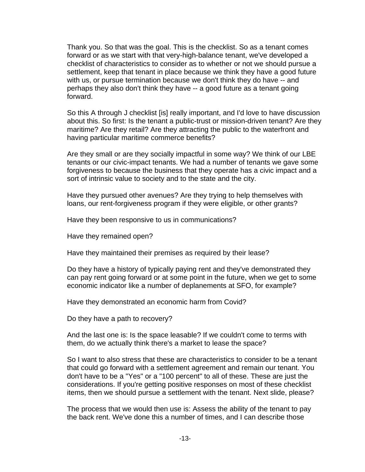Thank you. So that was the goal. This is the checklist. So as a tenant comes forward or as we start with that very-high-balance tenant, we've developed a checklist of characteristics to consider as to whether or not we should pursue a settlement, keep that tenant in place because we think they have a good future with us, or pursue termination because we don't think they do have -- and perhaps they also don't think they have -- a good future as a tenant going forward.

So this A through J checklist [is] really important, and I'd love to have discussion about this. So first: Is the tenant a public-trust or mission-driven tenant? Are they maritime? Are they retail? Are they attracting the public to the waterfront and having particular maritime commerce benefits?

Are they small or are they socially impactful in some way? We think of our LBE tenants or our civic-impact tenants. We had a number of tenants we gave some forgiveness to because the business that they operate has a civic impact and a sort of intrinsic value to society and to the state and the city.

Have they pursued other avenues? Are they trying to help themselves with loans, our rent-forgiveness program if they were eligible, or other grants?

Have they been responsive to us in communications?

Have they remained open?

Have they maintained their premises as required by their lease?

Do they have a history of typically paying rent and they've demonstrated they can pay rent going forward or at some point in the future, when we get to some economic indicator like a number of deplanements at SFO, for example?

Have they demonstrated an economic harm from Covid?

Do they have a path to recovery?

And the last one is: Is the space leasable? If we couldn't come to terms with them, do we actually think there's a market to lease the space?

So I want to also stress that these are characteristics to consider to be a tenant that could go forward with a settlement agreement and remain our tenant. You don't have to be a "Yes" or a "100 percent" to all of these. These are just the considerations. If you're getting positive responses on most of these checklist items, then we should pursue a settlement with the tenant. Next slide, please?

The process that we would then use is: Assess the ability of the tenant to pay the back rent. We've done this a number of times, and I can describe those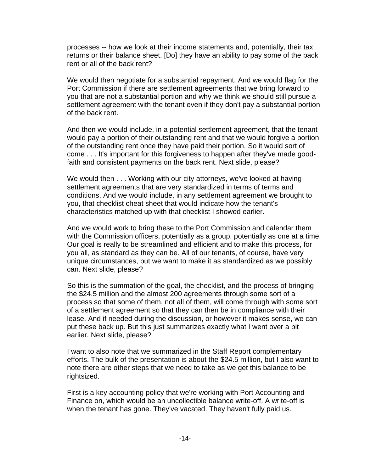processes -- how we look at their income statements and, potentially, their tax returns or their balance sheet. [Do] they have an ability to pay some of the back rent or all of the back rent?

We would then negotiate for a substantial repayment. And we would flag for the Port Commission if there are settlement agreements that we bring forward to you that are not a substantial portion and why we think we should still pursue a settlement agreement with the tenant even if they don't pay a substantial portion of the back rent.

And then we would include, in a potential settlement agreement, that the tenant would pay a portion of their outstanding rent and that we would forgive a portion of the outstanding rent once they have paid their portion. So it would sort of come . . . It's important for this forgiveness to happen after they've made goodfaith and consistent payments on the back rent. Next slide, please?

We would then . . . Working with our city attorneys, we've looked at having settlement agreements that are very standardized in terms of terms and conditions. And we would include, in any settlement agreement we brought to you, that checklist cheat sheet that would indicate how the tenant's characteristics matched up with that checklist I showed earlier.

And we would work to bring these to the Port Commission and calendar them with the Commission officers, potentially as a group, potentially as one at a time. Our goal is really to be streamlined and efficient and to make this process, for you all, as standard as they can be. All of our tenants, of course, have very unique circumstances, but we want to make it as standardized as we possibly can. Next slide, please?

So this is the summation of the goal, the checklist, and the process of bringing the \$24.5 million and the almost 200 agreements through some sort of a process so that some of them, not all of them, will come through with some sort of a settlement agreement so that they can then be in compliance with their lease. And if needed during the discussion, or however it makes sense, we can put these back up. But this just summarizes exactly what I went over a bit earlier. Next slide, please?

I want to also note that we summarized in the Staff Report complementary efforts. The bulk of the presentation is about the \$24.5 million, but I also want to note there are other steps that we need to take as we get this balance to be rightsized.

First is a key accounting policy that we're working with Port Accounting and Finance on, which would be an uncollectible balance write-off. A write-off is when the tenant has gone. They've vacated. They haven't fully paid us.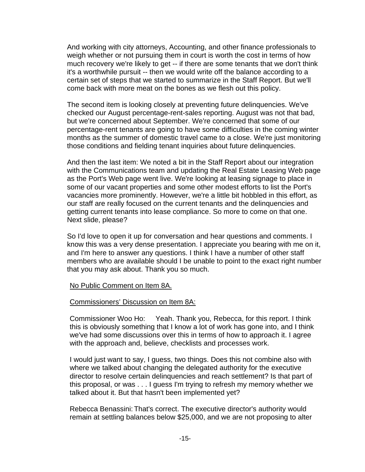And working with city attorneys, Accounting, and other finance professionals to weigh whether or not pursuing them in court is worth the cost in terms of how much recovery we're likely to get -- if there are some tenants that we don't think it's a worthwhile pursuit -- then we would write off the balance according to a certain set of steps that we started to summarize in the Staff Report. But we'll come back with more meat on the bones as we flesh out this policy.

The second item is looking closely at preventing future delinquencies. We've checked our August percentage-rent-sales reporting. August was not that bad, but we're concerned about September. We're concerned that some of our percentage-rent tenants are going to have some difficulties in the coming winter months as the summer of domestic travel came to a close. We're just monitoring those conditions and fielding tenant inquiries about future delinquencies.

And then the last item: We noted a bit in the Staff Report about our integration with the Communications team and updating the Real Estate Leasing Web page as the Port's Web page went live. We're looking at leasing signage to place in some of our vacant properties and some other modest efforts to list the Port's vacancies more prominently. However, we're a little bit hobbled in this effort, as our staff are really focused on the current tenants and the delinquencies and getting current tenants into lease compliance. So more to come on that one. Next slide, please?

So I'd love to open it up for conversation and hear questions and comments. I know this was a very dense presentation. I appreciate you bearing with me on it, and I'm here to answer any questions. I think I have a number of other staff members who are available should I be unable to point to the exact right number that you may ask about. Thank you so much.

#### No Public Comment on Item 8A.

#### Commissioners' Discussion on Item 8A:

Commissioner Woo Ho: Yeah. Thank you, Rebecca, for this report. I think this is obviously something that I know a lot of work has gone into, and I think we've had some discussions over this in terms of how to approach it. I agree with the approach and, believe, checklists and processes work.

I would just want to say, I guess, two things. Does this not combine also with where we talked about changing the delegated authority for the executive director to resolve certain delinquencies and reach settlement? Is that part of this proposal, or was . . . I guess I'm trying to refresh my memory whether we talked about it. But that hasn't been implemented yet?

Rebecca Benassini: That's correct. The executive director's authority would remain at settling balances below \$25,000, and we are not proposing to alter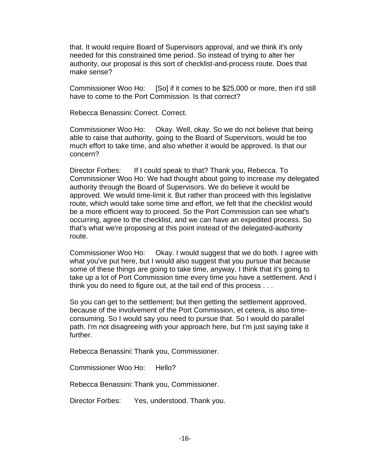that. It would require Board of Supervisors approval, and we think it's only needed for this constrained time period. So instead of trying to alter her authority, our proposal is this sort of checklist-and-process route. Does that make sense?

Commissioner Woo Ho: [So] if it comes to be \$25,000 or more, then it'd still have to come to the Port Commission. Is that correct?

Rebecca Benassini: Correct. Correct.

Commissioner Woo Ho: Okay. Well, okay. So we do not believe that being able to raise that authority, going to the Board of Supervisors, would be too much effort to take time, and also whether it would be approved. Is that our concern?

Director Forbes: If I could speak to that? Thank you, Rebecca. To Commissioner Woo Ho: We had thought about going to increase my delegated authority through the Board of Supervisors. We do believe it would be approved. We would time-limit it. But rather than proceed with this legislative route, which would take some time and effort, we felt that the checklist would be a more efficient way to proceed. So the Port Commission can see what's occurring, agree to the checklist, and we can have an expedited process. So that's what we're proposing at this point instead of the delegated-authority route.

Commissioner Woo Ho: Okay. I would suggest that we do both. I agree with what you've put here, but I would also suggest that you pursue that because some of these things are going to take time, anyway. I think that it's going to take up a lot of Port Commission time every time you have a settlement. And I think you do need to figure out, at the tail end of this process . . .

So you can get to the settlement; but then getting the settlement approved, because of the involvement of the Port Commission, et cetera, is also timeconsuming. So I would say you need to pursue that. So I would do parallel path. I'm not disagreeing with your approach here, but I'm just saying take it further.

Rebecca Benassini: Thank you, Commissioner.

Commissioner Woo Ho: Hello?

Rebecca Benassini: Thank you, Commissioner.

Director Forbes: Yes, understood. Thank you.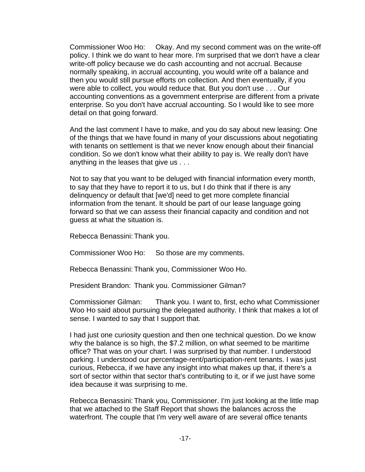Commissioner Woo Ho: Okay. And my second comment was on the write-off policy. I think we do want to hear more. I'm surprised that we don't have a clear write-off policy because we do cash accounting and not accrual. Because normally speaking, in accrual accounting, you would write off a balance and then you would still pursue efforts on collection. And then eventually, if you were able to collect, you would reduce that. But you don't use . . . Our accounting conventions as a government enterprise are different from a private enterprise. So you don't have accrual accounting. So I would like to see more detail on that going forward.

And the last comment I have to make, and you do say about new leasing: One of the things that we have found in many of your discussions about negotiating with tenants on settlement is that we never know enough about their financial condition. So we don't know what their ability to pay is. We really don't have anything in the leases that give us . . .

Not to say that you want to be deluged with financial information every month, to say that they have to report it to us, but I do think that if there is any delinquency or default that [we'd] need to get more complete financial information from the tenant. It should be part of our lease language going forward so that we can assess their financial capacity and condition and not guess at what the situation is.

Rebecca Benassini: Thank you.

Commissioner Woo Ho: So those are my comments.

Rebecca Benassini: Thank you, Commissioner Woo Ho.

President Brandon: Thank you. Commissioner Gilman?

Commissioner Gilman: Thank you. I want to, first, echo what Commissioner Woo Ho said about pursuing the delegated authority. I think that makes a lot of sense. I wanted to say that I support that.

I had just one curiosity question and then one technical question. Do we know why the balance is so high, the \$7.2 million, on what seemed to be maritime office? That was on your chart. I was surprised by that number. I understood parking. I understood our percentage-rent/participation-rent tenants. I was just curious, Rebecca, if we have any insight into what makes up that, if there's a sort of sector within that sector that's contributing to it, or if we just have some idea because it was surprising to me.

Rebecca Benassini: Thank you, Commissioner. I'm just looking at the little map that we attached to the Staff Report that shows the balances across the waterfront. The couple that I'm very well aware of are several office tenants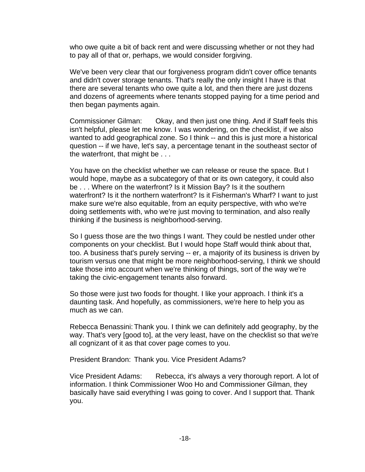who owe quite a bit of back rent and were discussing whether or not they had to pay all of that or, perhaps, we would consider forgiving.

We've been very clear that our forgiveness program didn't cover office tenants and didn't cover storage tenants. That's really the only insight I have is that there are several tenants who owe quite a lot, and then there are just dozens and dozens of agreements where tenants stopped paying for a time period and then began payments again.

Commissioner Gilman: Okay, and then just one thing. And if Staff feels this isn't helpful, please let me know. I was wondering, on the checklist, if we also wanted to add geographical zone. So I think -- and this is just more a historical question -- if we have, let's say, a percentage tenant in the southeast sector of the waterfront, that might be . . .

You have on the checklist whether we can release or reuse the space. But I would hope, maybe as a subcategory of that or its own category, it could also be . . . Where on the waterfront? Is it Mission Bay? Is it the southern waterfront? Is it the northern waterfront? Is it Fisherman's Wharf? I want to just make sure we're also equitable, from an equity perspective, with who we're doing settlements with, who we're just moving to termination, and also really thinking if the business is neighborhood-serving.

So I guess those are the two things I want. They could be nestled under other components on your checklist. But I would hope Staff would think about that, too. A business that's purely serving -- er, a majority of its business is driven by tourism versus one that might be more neighborhood-serving, I think we should take those into account when we're thinking of things, sort of the way we're taking the civic-engagement tenants also forward.

So those were just two foods for thought. I like your approach. I think it's a daunting task. And hopefully, as commissioners, we're here to help you as much as we can.

Rebecca Benassini: Thank you. I think we can definitely add geography, by the way. That's very [good to], at the very least, have on the checklist so that we're all cognizant of it as that cover page comes to you.

President Brandon: Thank you. Vice President Adams?

Vice President Adams: Rebecca, it's always a very thorough report. A lot of information. I think Commissioner Woo Ho and Commissioner Gilman, they basically have said everything I was going to cover. And I support that. Thank you.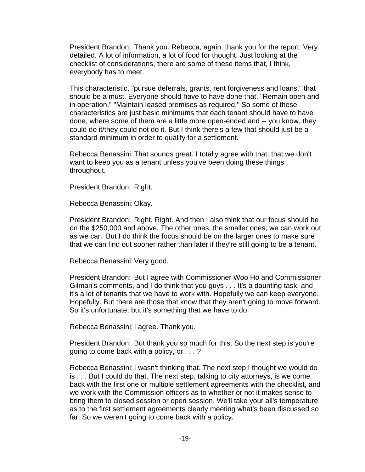President Brandon: Thank you. Rebecca, again, thank you for the report. Very detailed. A lot of information, a lot of food for thought. Just looking at the checklist of considerations, there are some of these items that, I think, everybody has to meet.

This characteristic, "pursue deferrals, grants, rent forgiveness and loans," that should be a must. Everyone should have to have done that. "Remain open and in operation." "Maintain leased premises as required." So some of these characteristics are just basic minimums that each tenant should have to have done, where some of them are a little more open-ended and -- you know, they could do it/they could not do it. But I think there's a few that should just be a standard minimum in order to qualify for a settlement.

Rebecca Benassini: That sounds great. I totally agree with that: that we don't want to keep you as a tenant unless you've been doing these things throughout.

President Brandon: Right.

Rebecca Benassini: Okay.

President Brandon: Right. Right. And then I also think that our focus should be on the \$250,000 and above. The other ones, the smaller ones, we can work out as we can. But I do think the focus should be on the larger ones to make sure that we can find out sooner rather than later if they're still going to be a tenant.

Rebecca Benassini: Very good.

President Brandon: But I agree with Commissioner Woo Ho and Commissioner Gilman's comments, and I do think that you guys . . . It's a daunting task, and it's a lot of tenants that we have to work with. Hopefully we can keep everyone. Hopefully. But there are those that know that they aren't going to move forward. So it's unfortunate, but it's something that we have to do.

Rebecca Benassini: I agree. Thank you.

President Brandon: But thank you so much for this. So the next step is you're going to come back with a policy, or . . . ?

Rebecca Benassini: I wasn't thinking that. The next step I thought we would do is . . . But I could do that. The next step, talking to city attorneys, is we come back with the first one or multiple settlement agreements with the checklist, and we work with the Commission officers as to whether or not it makes sense to bring them to closed session or open session. We'll take your all's temperature as to the first settlement agreements clearly meeting what's been discussed so far. So we weren't going to come back with a policy.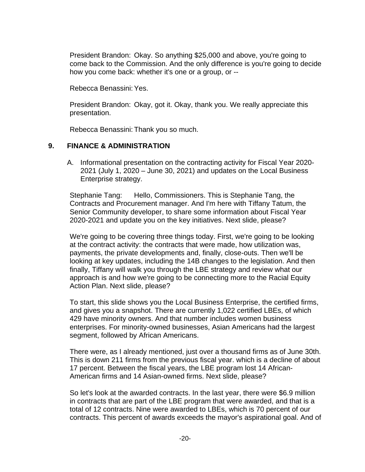President Brandon: Okay. So anything \$25,000 and above, you're going to come back to the Commission. And the only difference is you're going to decide how you come back: whether it's one or a group, or --

Rebecca Benassini: Yes.

President Brandon: Okay, got it. Okay, thank you. We really appreciate this presentation.

Rebecca Benassini: Thank you so much.

# **9. FINANCE & ADMINISTRATION**

A. Informational presentation on the contracting activity for Fiscal Year 2020- 2021 (July 1, 2020 – June 30, 2021) and updates on the Local Business Enterprise strategy.

Stephanie Tang: Hello, Commissioners. This is Stephanie Tang, the Contracts and Procurement manager. And I'm here with Tiffany Tatum, the Senior Community developer, to share some information about Fiscal Year 2020-2021 and update you on the key initiatives. Next slide, please?

We're going to be covering three things today. First, we're going to be looking at the contract activity: the contracts that were made, how utilization was, payments, the private developments and, finally, close-outs. Then we'll be looking at key updates, including the 14B changes to the legislation. And then finally, Tiffany will walk you through the LBE strategy and review what our approach is and how we're going to be connecting more to the Racial Equity Action Plan. Next slide, please?

To start, this slide shows you the Local Business Enterprise, the certified firms, and gives you a snapshot. There are currently 1,022 certified LBEs, of which 429 have minority owners. And that number includes women business enterprises. For minority-owned businesses, Asian Americans had the largest segment, followed by African Americans.

There were, as I already mentioned, just over a thousand firms as of June 30th. This is down 211 firms from the previous fiscal year. which is a decline of about 17 percent. Between the fiscal years, the LBE program lost 14 African-American firms and 14 Asian-owned firms. Next slide, please?

So let's look at the awarded contracts. In the last year, there were \$6.9 million in contracts that are part of the LBE program that were awarded, and that is a total of 12 contracts. Nine were awarded to LBEs, which is 70 percent of our contracts. This percent of awards exceeds the mayor's aspirational goal. And of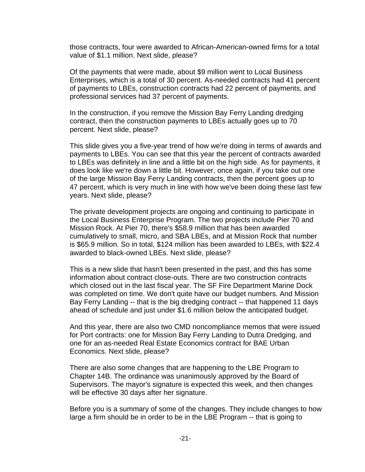those contracts, four were awarded to African-American-owned firms for a total value of \$1.1 million. Next slide, please?

Of the payments that were made, about \$9 million went to Local Business Enterprises, which is a total of 30 percent. As-needed contracts had 41 percent of payments to LBEs, construction contracts had 22 percent of payments, and professional services had 37 percent of payments.

In the construction, if you remove the Mission Bay Ferry Landing dredging contract, then the construction payments to LBEs actually goes up to 70 percent. Next slide, please?

This slide gives you a five-year trend of how we're doing in terms of awards and payments to LBEs. You can see that this year the percent of contracts awarded to LBEs was definitely in line and a little bit on the high side. As for payments, it does look like we're down a little bit. However, once again, if you take out one of the large Mission Bay Ferry Landing contracts, then the percent goes up to 47 percent, which is very much in line with how we've been doing these last few years. Next slide, please?

The private development projects are ongoing and continuing to participate in the Local Business Enterprise Program. The two projects include Pier 70 and Mission Rock. At Pier 70, there's \$58.9 million that has been awarded cumulatively to small, micro, and SBA LBEs, and at Mission Rock that number is \$65.9 million. So in total, \$124 million has been awarded to LBEs, with \$22.4 awarded to black-owned LBEs. Next slide, please?

This is a new slide that hasn't been presented in the past, and this has some information about contract close-outs. There are two construction contracts which closed out in the last fiscal year. The SF Fire Department Marine Dock was completed on time. We don't quite have our budget numbers. And Mission Bay Ferry Landing -- that is the big dredging contract -- that happened 11 days ahead of schedule and just under \$1.6 million below the anticipated budget.

And this year, there are also two CMD noncompliance memos that were issued for Port contracts: one for Mission Bay Ferry Landing to Dutra Dredging, and one for an as-needed Real Estate Economics contract for BAE Urban Economics. Next slide, please?

There are also some changes that are happening to the LBE Program to Chapter 14B. The ordinance was unanimously approved by the Board of Supervisors. The mayor's signature is expected this week, and then changes will be effective 30 days after her signature.

Before you is a summary of some of the changes. They include changes to how large a firm should be in order to be in the LBE Program -- that is going to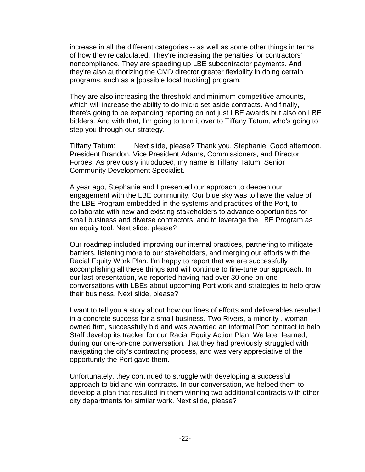increase in all the different categories -- as well as some other things in terms of how they're calculated. They're increasing the penalties for contractors' noncompliance. They are speeding up LBE subcontractor payments. And they're also authorizing the CMD director greater flexibility in doing certain programs, such as a [possible local trucking] program.

They are also increasing the threshold and minimum competitive amounts, which will increase the ability to do micro set-aside contracts. And finally, there's going to be expanding reporting on not just LBE awards but also on LBE bidders. And with that, I'm going to turn it over to Tiffany Tatum, who's going to step you through our strategy.

Tiffany Tatum: Next slide, please? Thank you, Stephanie. Good afternoon, President Brandon, Vice President Adams, Commissioners, and Director Forbes. As previously introduced, my name is Tiffany Tatum, Senior Community Development Specialist.

A year ago, Stephanie and I presented our approach to deepen our engagement with the LBE community. Our blue sky was to have the value of the LBE Program embedded in the systems and practices of the Port, to collaborate with new and existing stakeholders to advance opportunities for small business and diverse contractors, and to leverage the LBE Program as an equity tool. Next slide, please?

Our roadmap included improving our internal practices, partnering to mitigate barriers, listening more to our stakeholders, and merging our efforts with the Racial Equity Work Plan. I'm happy to report that we are successfully accomplishing all these things and will continue to fine-tune our approach. In our last presentation, we reported having had over 30 one-on-one conversations with LBEs about upcoming Port work and strategies to help grow their business. Next slide, please?

I want to tell you a story about how our lines of efforts and deliverables resulted in a concrete success for a small business. Two Rivers, a minority-, womanowned firm, successfully bid and was awarded an informal Port contract to help Staff develop its tracker for our Racial Equity Action Plan. We later learned, during our one-on-one conversation, that they had previously struggled with navigating the city's contracting process, and was very appreciative of the opportunity the Port gave them.

Unfortunately, they continued to struggle with developing a successful approach to bid and win contracts. In our conversation, we helped them to develop a plan that resulted in them winning two additional contracts with other city departments for similar work. Next slide, please?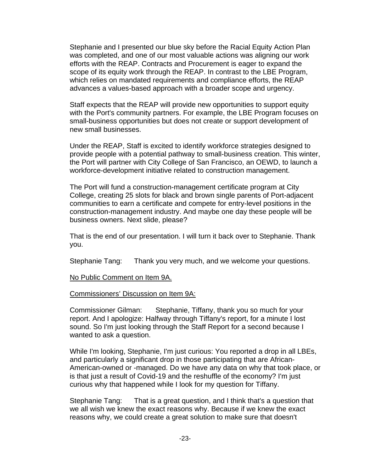Stephanie and I presented our blue sky before the Racial Equity Action Plan was completed, and one of our most valuable actions was aligning our work efforts with the REAP. Contracts and Procurement is eager to expand the scope of its equity work through the REAP. In contrast to the LBE Program, which relies on mandated requirements and compliance efforts, the REAP advances a values-based approach with a broader scope and urgency.

Staff expects that the REAP will provide new opportunities to support equity with the Port's community partners. For example, the LBE Program focuses on small-business opportunities but does not create or support development of new small businesses.

Under the REAP, Staff is excited to identify workforce strategies designed to provide people with a potential pathway to small-business creation. This winter, the Port will partner with City College of San Francisco, an OEWD, to launch a workforce-development initiative related to construction management.

The Port will fund a construction-management certificate program at City College, creating 25 slots for black and brown single parents of Port-adjacent communities to earn a certificate and compete for entry-level positions in the construction-management industry. And maybe one day these people will be business owners. Next slide, please?

That is the end of our presentation. I will turn it back over to Stephanie. Thank you.

Stephanie Tang: Thank you very much, and we welcome your questions.

No Public Comment on Item 9A.

Commissioners' Discussion on Item 9A:

Commissioner Gilman: Stephanie, Tiffany, thank you so much for your report. And I apologize: Halfway through Tiffany's report, for a minute I lost sound. So I'm just looking through the Staff Report for a second because I wanted to ask a question.

While I'm looking, Stephanie, I'm just curious: You reported a drop in all LBEs, and particularly a significant drop in those participating that are African-American-owned or -managed. Do we have any data on why that took place, or is that just a result of Covid-19 and the reshuffle of the economy? I'm just curious why that happened while I look for my question for Tiffany.

Stephanie Tang: That is a great question, and I think that's a question that we all wish we knew the exact reasons why. Because if we knew the exact reasons why, we could create a great solution to make sure that doesn't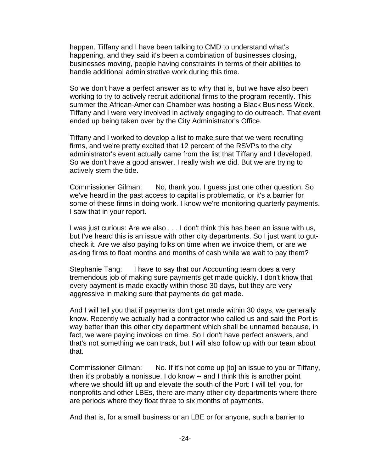happen. Tiffany and I have been talking to CMD to understand what's happening, and they said it's been a combination of businesses closing, businesses moving, people having constraints in terms of their abilities to handle additional administrative work during this time.

So we don't have a perfect answer as to why that is, but we have also been working to try to actively recruit additional firms to the program recently. This summer the African-American Chamber was hosting a Black Business Week. Tiffany and I were very involved in actively engaging to do outreach. That event ended up being taken over by the City Administrator's Office.

Tiffany and I worked to develop a list to make sure that we were recruiting firms, and we're pretty excited that 12 percent of the RSVPs to the city administrator's event actually came from the list that Tiffany and I developed. So we don't have a good answer. I really wish we did. But we are trying to actively stem the tide.

Commissioner Gilman: No, thank you. I guess just one other question. So we've heard in the past access to capital is problematic, or it's a barrier for some of these firms in doing work. I know we're monitoring quarterly payments. I saw that in your report.

I was just curious: Are we also . . . I don't think this has been an issue with us, but I've heard this is an issue with other city departments. So I just want to gutcheck it. Are we also paying folks on time when we invoice them, or are we asking firms to float months and months of cash while we wait to pay them?

Stephanie Tang: I have to say that our Accounting team does a very tremendous job of making sure payments get made quickly. I don't know that every payment is made exactly within those 30 days, but they are very aggressive in making sure that payments do get made.

And I will tell you that if payments don't get made within 30 days, we generally know. Recently we actually had a contractor who called us and said the Port is way better than this other city department which shall be unnamed because, in fact, we were paying invoices on time. So I don't have perfect answers, and that's not something we can track, but I will also follow up with our team about that.

Commissioner Gilman: No. If it's not come up [to] an issue to you or Tiffany, then it's probably a nonissue. I do know -- and I think this is another point where we should lift up and elevate the south of the Port: I will tell you, for nonprofits and other LBEs, there are many other city departments where there are periods where they float three to six months of payments.

And that is, for a small business or an LBE or for anyone, such a barrier to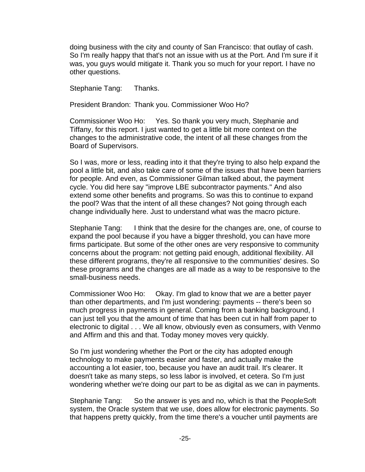doing business with the city and county of San Francisco: that outlay of cash. So I'm really happy that that's not an issue with us at the Port. And I'm sure if it was, you guys would mitigate it. Thank you so much for your report. I have no other questions.

Stephanie Tang: Thanks.

President Brandon: Thank you. Commissioner Woo Ho?

Commissioner Woo Ho: Yes. So thank you very much, Stephanie and Tiffany, for this report. I just wanted to get a little bit more context on the changes to the administrative code, the intent of all these changes from the Board of Supervisors.

So I was, more or less, reading into it that they're trying to also help expand the pool a little bit, and also take care of some of the issues that have been barriers for people. And even, as Commissioner Gilman talked about, the payment cycle. You did here say "improve LBE subcontractor payments." And also extend some other benefits and programs. So was this to continue to expand the pool? Was that the intent of all these changes? Not going through each change individually here. Just to understand what was the macro picture.

Stephanie Tang: I think that the desire for the changes are, one, of course to expand the pool because if you have a bigger threshold, you can have more firms participate. But some of the other ones are very responsive to community concerns about the program: not getting paid enough, additional flexibility. All these different programs, they're all responsive to the communities' desires. So these programs and the changes are all made as a way to be responsive to the small-business needs.

Commissioner Woo Ho: Okay. I'm glad to know that we are a better payer than other departments, and I'm just wondering: payments -- there's been so much progress in payments in general. Coming from a banking background, I can just tell you that the amount of time that has been cut in half from paper to electronic to digital . . . We all know, obviously even as consumers, with Venmo and Affirm and this and that. Today money moves very quickly.

So I'm just wondering whether the Port or the city has adopted enough technology to make payments easier and faster, and actually make the accounting a lot easier, too, because you have an audit trail. It's clearer. It doesn't take as many steps, so less labor is involved, et cetera. So I'm just wondering whether we're doing our part to be as digital as we can in payments.

Stephanie Tang: So the answer is yes and no, which is that the PeopleSoft system, the Oracle system that we use, does allow for electronic payments. So that happens pretty quickly, from the time there's a voucher until payments are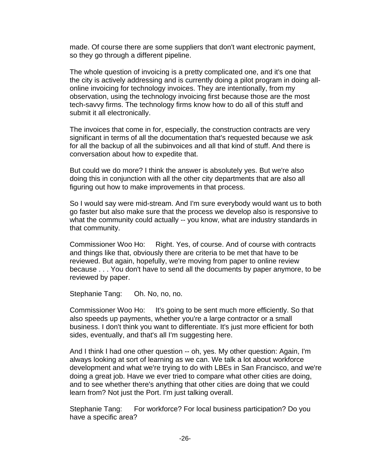made. Of course there are some suppliers that don't want electronic payment, so they go through a different pipeline.

The whole question of invoicing is a pretty complicated one, and it's one that the city is actively addressing and is currently doing a pilot program in doing allonline invoicing for technology invoices. They are intentionally, from my observation, using the technology invoicing first because those are the most tech-savvy firms. The technology firms know how to do all of this stuff and submit it all electronically.

The invoices that come in for, especially, the construction contracts are very significant in terms of all the documentation that's requested because we ask for all the backup of all the subinvoices and all that kind of stuff. And there is conversation about how to expedite that.

But could we do more? I think the answer is absolutely yes. But we're also doing this in conjunction with all the other city departments that are also all figuring out how to make improvements in that process.

So I would say were mid-stream. And I'm sure everybody would want us to both go faster but also make sure that the process we develop also is responsive to what the community could actually -- you know, what are industry standards in that community.

Commissioner Woo Ho: Right. Yes, of course. And of course with contracts and things like that, obviously there are criteria to be met that have to be reviewed. But again, hopefully, we're moving from paper to online review because . . . You don't have to send all the documents by paper anymore, to be reviewed by paper.

Stephanie Tang: Oh. No, no, no.

Commissioner Woo Ho: It's going to be sent much more efficiently. So that also speeds up payments, whether you're a large contractor or a small business. I don't think you want to differentiate. It's just more efficient for both sides, eventually, and that's all I'm suggesting here.

And I think I had one other question -- oh, yes. My other question: Again, I'm always looking at sort of learning as we can. We talk a lot about workforce development and what we're trying to do with LBEs in San Francisco, and we're doing a great job. Have we ever tried to compare what other cities are doing, and to see whether there's anything that other cities are doing that we could learn from? Not just the Port. I'm just talking overall.

Stephanie Tang: For workforce? For local business participation? Do you have a specific area?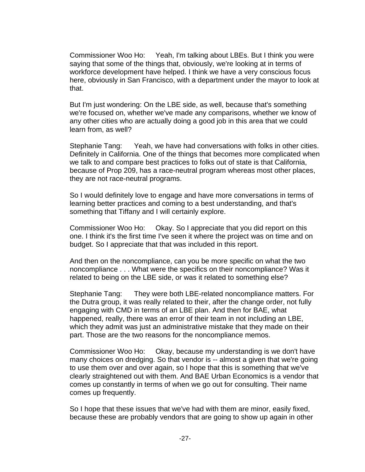Commissioner Woo Ho: Yeah, I'm talking about LBEs. But I think you were saying that some of the things that, obviously, we're looking at in terms of workforce development have helped. I think we have a very conscious focus here, obviously in San Francisco, with a department under the mayor to look at that.

But I'm just wondering: On the LBE side, as well, because that's something we're focused on, whether we've made any comparisons, whether we know of any other cities who are actually doing a good job in this area that we could learn from, as well?

Stephanie Tang: Yeah, we have had conversations with folks in other cities. Definitely in California. One of the things that becomes more complicated when we talk to and compare best practices to folks out of state is that California, because of Prop 209, has a race-neutral program whereas most other places, they are not race-neutral programs.

So I would definitely love to engage and have more conversations in terms of learning better practices and coming to a best understanding, and that's something that Tiffany and I will certainly explore.

Commissioner Woo Ho: Okay. So I appreciate that you did report on this one. I think it's the first time I've seen it where the project was on time and on budget. So I appreciate that that was included in this report.

And then on the noncompliance, can you be more specific on what the two noncompliance . . . What were the specifics on their noncompliance? Was it related to being on the LBE side, or was it related to something else?

Stephanie Tang: They were both LBE-related noncompliance matters. For the Dutra group, it was really related to their, after the change order, not fully engaging with CMD in terms of an LBE plan. And then for BAE, what happened, really, there was an error of their team in not including an LBE, which they admit was just an administrative mistake that they made on their part. Those are the two reasons for the noncompliance memos.

Commissioner Woo Ho: Okay, because my understanding is we don't have many choices on dredging. So that vendor is -- almost a given that we're going to use them over and over again, so I hope that this is something that we've clearly straightened out with them. And BAE Urban Economics is a vendor that comes up constantly in terms of when we go out for consulting. Their name comes up frequently.

So I hope that these issues that we've had with them are minor, easily fixed, because these are probably vendors that are going to show up again in other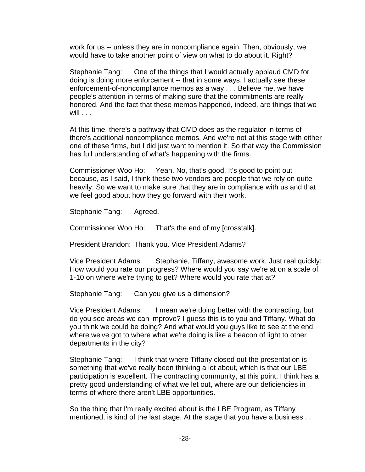work for us -- unless they are in noncompliance again. Then, obviously, we would have to take another point of view on what to do about it. Right?

Stephanie Tang: One of the things that I would actually applaud CMD for doing is doing more enforcement -- that in some ways, I actually see these enforcement-of-noncompliance memos as a way . . . Believe me, we have people's attention in terms of making sure that the commitments are really honored. And the fact that these memos happened, indeed, are things that we will  $\ldots$ 

At this time, there's a pathway that CMD does as the regulator in terms of there's additional noncompliance memos. And we're not at this stage with either one of these firms, but I did just want to mention it. So that way the Commission has full understanding of what's happening with the firms.

Commissioner Woo Ho: Yeah. No, that's good. It's good to point out because, as I said, I think these two vendors are people that we rely on quite heavily. So we want to make sure that they are in compliance with us and that we feel good about how they go forward with their work.

Stephanie Tang: Agreed.

Commissioner Woo Ho: That's the end of my [crosstalk].

President Brandon: Thank you. Vice President Adams?

Vice President Adams: Stephanie, Tiffany, awesome work. Just real quickly: How would you rate our progress? Where would you say we're at on a scale of 1-10 on where we're trying to get? Where would you rate that at?

Stephanie Tang: Can you give us a dimension?

Vice President Adams: I mean we're doing better with the contracting, but do you see areas we can improve? I guess this is to you and Tiffany. What do you think we could be doing? And what would you guys like to see at the end, where we've got to where what we're doing is like a beacon of light to other departments in the city?

Stephanie Tang: I think that where Tiffany closed out the presentation is something that we've really been thinking a lot about, which is that our LBE participation is excellent. The contracting community, at this point, I think has a pretty good understanding of what we let out, where are our deficiencies in terms of where there aren't LBE opportunities.

So the thing that I'm really excited about is the LBE Program, as Tiffany mentioned, is kind of the last stage. At the stage that you have a business . . .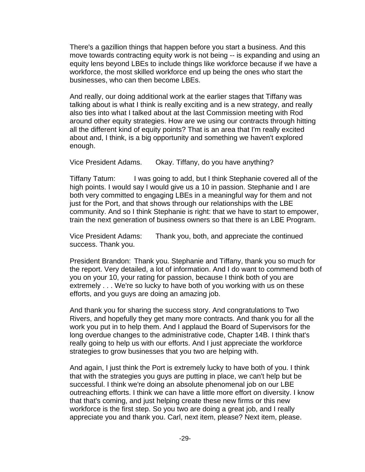There's a gazillion things that happen before you start a business. And this move towards contracting equity work is not being -- is expanding and using an equity lens beyond LBEs to include things like workforce because if we have a workforce, the most skilled workforce end up being the ones who start the businesses, who can then become LBEs.

And really, our doing additional work at the earlier stages that Tiffany was talking about is what I think is really exciting and is a new strategy, and really also ties into what I talked about at the last Commission meeting with Rod around other equity strategies. How are we using our contracts through hitting all the different kind of equity points? That is an area that I'm really excited about and, I think, is a big opportunity and something we haven't explored enough.

Vice President Adams. Okay. Tiffany, do you have anything?

Tiffany Tatum: I was going to add, but I think Stephanie covered all of the high points. I would say I would give us a 10 in passion. Stephanie and I are both very committed to engaging LBEs in a meaningful way for them and not just for the Port, and that shows through our relationships with the LBE community. And so I think Stephanie is right: that we have to start to empower, train the next generation of business owners so that there is an LBE Program.

Vice President Adams: Thank you, both, and appreciate the continued success. Thank you.

President Brandon: Thank you. Stephanie and Tiffany, thank you so much for the report. Very detailed, a lot of information. And I do want to commend both of you on your 10, your rating for passion, because I think both of you are extremely . . . We're so lucky to have both of you working with us on these efforts, and you guys are doing an amazing job.

And thank you for sharing the success story. And congratulations to Two Rivers, and hopefully they get many more contracts. And thank you for all the work you put in to help them. And I applaud the Board of Supervisors for the long overdue changes to the administrative code, Chapter 14B. I think that's really going to help us with our efforts. And I just appreciate the workforce strategies to grow businesses that you two are helping with.

And again, I just think the Port is extremely lucky to have both of you. I think that with the strategies you guys are putting in place, we can't help but be successful. I think we're doing an absolute phenomenal job on our LBE outreaching efforts. I think we can have a little more effort on diversity. I know that that's coming, and just helping create these new firms or this new workforce is the first step. So you two are doing a great job, and I really appreciate you and thank you. Carl, next item, please? Next item, please.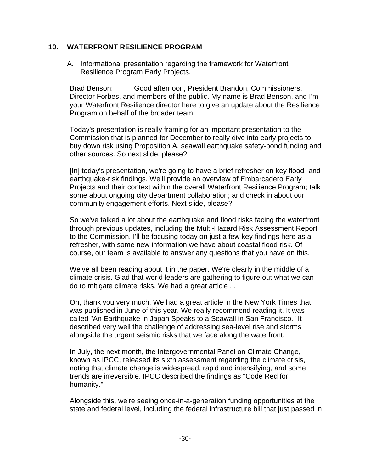# **10. WATERFRONT RESILIENCE PROGRAM**

A. Informational presentation regarding the framework for Waterfront Resilience Program Early Projects.

Brad Benson: Good afternoon, President Brandon, Commissioners, Director Forbes, and members of the public. My name is Brad Benson, and I'm your Waterfront Resilience director here to give an update about the Resilience Program on behalf of the broader team.

Today's presentation is really framing for an important presentation to the Commission that is planned for December to really dive into early projects to buy down risk using Proposition A, seawall earthquake safety-bond funding and other sources. So next slide, please?

[In] today's presentation, we're going to have a brief refresher on key flood- and earthquake-risk findings. We'll provide an overview of Embarcadero Early Projects and their context within the overall Waterfront Resilience Program; talk some about ongoing city department collaboration; and check in about our community engagement efforts. Next slide, please?

So we've talked a lot about the earthquake and flood risks facing the waterfront through previous updates, including the Multi-Hazard Risk Assessment Report to the Commission. I'll be focusing today on just a few key findings here as a refresher, with some new information we have about coastal flood risk. Of course, our team is available to answer any questions that you have on this.

We've all been reading about it in the paper. We're clearly in the middle of a climate crisis. Glad that world leaders are gathering to figure out what we can do to mitigate climate risks. We had a great article . . .

Oh, thank you very much. We had a great article in the New York Times that was published in June of this year. We really recommend reading it. It was called "An Earthquake in Japan Speaks to a Seawall in San Francisco." It described very well the challenge of addressing sea-level rise and storms alongside the urgent seismic risks that we face along the waterfront.

In July, the next month, the Intergovernmental Panel on Climate Change, known as IPCC, released its sixth assessment regarding the climate crisis, noting that climate change is widespread, rapid and intensifying, and some trends are irreversible. IPCC described the findings as "Code Red for humanity."

Alongside this, we're seeing once-in-a-generation funding opportunities at the state and federal level, including the federal infrastructure bill that just passed in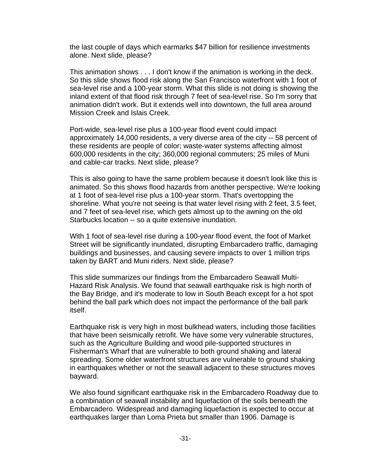the last couple of days which earmarks \$47 billion for resilience investments alone. Next slide, please?

This animation shows . . . I don't know if the animation is working in the deck. So this slide shows flood risk along the San Francisco waterfront with 1 foot of sea-level rise and a 100-year storm. What this slide is not doing is showing the inland extent of that flood risk through 7 feet of sea-level rise. So I'm sorry that animation didn't work. But it extends well into downtown, the full area around Mission Creek and Islais Creek.

Port-wide, sea-level rise plus a 100-year flood event could impact approximately 14,000 residents, a very diverse area of the city -- 58 percent of these residents are people of color; waste-water systems affecting almost 600,000 residents in the city; 360,000 regional commuters; 25 miles of Muni and cable-car tracks. Next slide, please?

This is also going to have the same problem because it doesn't look like this is animated. So this shows flood hazards from another perspective. We're looking at 1 foot of sea-level rise plus a 100-year storm. That's overtopping the shoreline. What you're not seeing is that water level rising with 2 feet, 3.5 feet, and 7 feet of sea-level rise, which gets almost up to the awning on the old Starbucks location -- so a quite extensive inundation.

With 1 foot of sea-level rise during a 100-year flood event, the foot of Market Street will be significantly inundated, disrupting Embarcadero traffic, damaging buildings and businesses, and causing severe impacts to over 1 million trips taken by BART and Muni riders. Next slide, please?

This slide summarizes our findings from the Embarcadero Seawall Multi-Hazard Risk Analysis. We found that seawall earthquake risk is high north of the Bay Bridge, and it's moderate to low in South Beach except for a hot spot behind the ball park which does not impact the performance of the ball park itself.

Earthquake risk is very high in most bulkhead waters, including those facilities that have been seismically retrofit. We have some very vulnerable structures, such as the Agriculture Building and wood pile-supported structures in Fisherman's Wharf that are vulnerable to both ground shaking and lateral spreading. Some older waterfront structures are vulnerable to ground shaking in earthquakes whether or not the seawall adjacent to these structures moves bayward.

We also found significant earthquake risk in the Embarcadero Roadway due to a combination of seawall instability and liquefaction of the soils beneath the Embarcadero. Widespread and damaging liquefaction is expected to occur at earthquakes larger than Loma Prieta but smaller than 1906. Damage is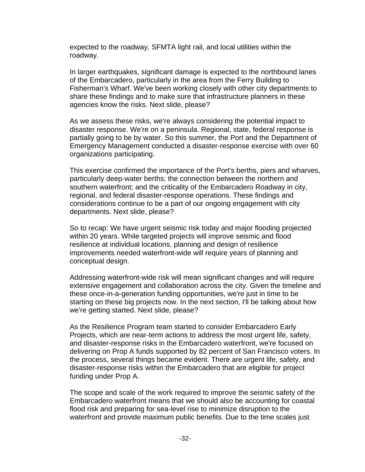expected to the roadway, SFMTA light rail, and local utilities within the roadway.

In larger earthquakes, significant damage is expected to the northbound lanes of the Embarcadero, particularly in the area from the Ferry Building to Fisherman's Wharf. We've been working closely with other city departments to share these findings and to make sure that infrastructure planners in these agencies know the risks. Next slide, please?

As we assess these risks, we're always considering the potential impact to disaster response. We're on a peninsula. Regional, state, federal response is partially going to be by water. So this summer, the Port and the Department of Emergency Management conducted a disaster-response exercise with over 60 organizations participating.

This exercise confirmed the importance of the Port's berths, piers and wharves, particularly deep-water berths; the connection between the northern and southern waterfront; and the criticality of the Embarcadero Roadway in city, regional, and federal disaster-response operations. These findings and considerations continue to be a part of our ongoing engagement with city departments. Next slide, please?

So to recap: We have urgent seismic risk today and major flooding projected within 20 years. While targeted projects will improve seismic and flood resilience at individual locations, planning and design of resilience improvements needed waterfront-wide will require years of planning and conceptual design.

Addressing waterfront-wide risk will mean significant changes and will require extensive engagement and collaboration across the city. Given the timeline and these once-in-a-generation funding opportunities, we're just in time to be starting on these big projects now. In the next section, I'll be talking about how we're getting started. Next slide, please?

As the Resilience Program team started to consider Embarcadero Early Projects, which are near-term actions to address the most urgent life, safety, and disaster-response risks in the Embarcadero waterfront, we're focused on delivering on Prop A funds supported by 82 percent of San Francisco voters. In the process, several things became evident. There are urgent life, safety, and disaster-response risks within the Embarcadero that are eligible for project funding under Prop A.

The scope and scale of the work required to improve the seismic safety of the Embarcadero waterfront means that we should also be accounting for coastal flood risk and preparing for sea-level rise to minimize disruption to the waterfront and provide maximum public benefits. Due to the time scales just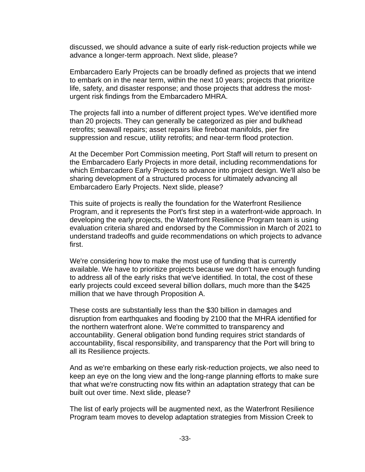discussed, we should advance a suite of early risk-reduction projects while we advance a longer-term approach. Next slide, please?

Embarcadero Early Projects can be broadly defined as projects that we intend to embark on in the near term, within the next 10 years; projects that prioritize life, safety, and disaster response; and those projects that address the mosturgent risk findings from the Embarcadero MHRA.

The projects fall into a number of different project types. We've identified more than 20 projects. They can generally be categorized as pier and bulkhead retrofits; seawall repairs; asset repairs like fireboat manifolds, pier fire suppression and rescue, utility retrofits; and near-term flood protection.

At the December Port Commission meeting, Port Staff will return to present on the Embarcadero Early Projects in more detail, including recommendations for which Embarcadero Early Projects to advance into project design. We'll also be sharing development of a structured process for ultimately advancing all Embarcadero Early Projects. Next slide, please?

This suite of projects is really the foundation for the Waterfront Resilience Program, and it represents the Port's first step in a waterfront-wide approach. In developing the early projects, the Waterfront Resilience Program team is using evaluation criteria shared and endorsed by the Commission in March of 2021 to understand tradeoffs and guide recommendations on which projects to advance first.

We're considering how to make the most use of funding that is currently available. We have to prioritize projects because we don't have enough funding to address all of the early risks that we've identified. In total, the cost of these early projects could exceed several billion dollars, much more than the \$425 million that we have through Proposition A.

These costs are substantially less than the \$30 billion in damages and disruption from earthquakes and flooding by 2100 that the MHRA identified for the northern waterfront alone. We're committed to transparency and accountability. General obligation bond funding requires strict standards of accountability, fiscal responsibility, and transparency that the Port will bring to all its Resilience projects.

And as we're embarking on these early risk-reduction projects, we also need to keep an eye on the long view and the long-range planning efforts to make sure that what we're constructing now fits within an adaptation strategy that can be built out over time. Next slide, please?

The list of early projects will be augmented next, as the Waterfront Resilience Program team moves to develop adaptation strategies from Mission Creek to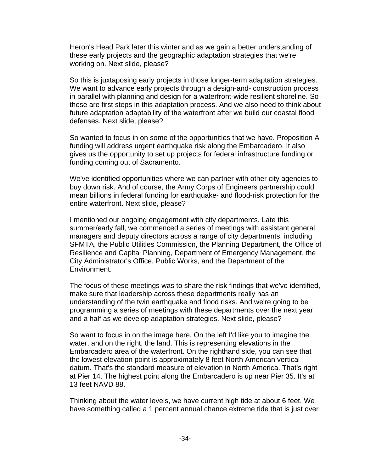Heron's Head Park later this winter and as we gain a better understanding of these early projects and the geographic adaptation strategies that we're working on. Next slide, please?

So this is juxtaposing early projects in those longer-term adaptation strategies. We want to advance early projects through a design-and- construction process in parallel with planning and design for a waterfront-wide resilient shoreline. So these are first steps in this adaptation process. And we also need to think about future adaptation adaptability of the waterfront after we build our coastal flood defenses. Next slide, please?

So wanted to focus in on some of the opportunities that we have. Proposition A funding will address urgent earthquake risk along the Embarcadero. It also gives us the opportunity to set up projects for federal infrastructure funding or funding coming out of Sacramento.

We've identified opportunities where we can partner with other city agencies to buy down risk. And of course, the Army Corps of Engineers partnership could mean billions in federal funding for earthquake- and flood-risk protection for the entire waterfront. Next slide, please?

I mentioned our ongoing engagement with city departments. Late this summer/early fall, we commenced a series of meetings with assistant general managers and deputy directors across a range of city departments, including SFMTA, the Public Utilities Commission, the Planning Department, the Office of Resilience and Capital Planning, Department of Emergency Management, the City Administrator's Office, Public Works, and the Department of the Environment.

The focus of these meetings was to share the risk findings that we've identified, make sure that leadership across these departments really has an understanding of the twin earthquake and flood risks. And we're going to be programming a series of meetings with these departments over the next year and a half as we develop adaptation strategies. Next slide, please?

So want to focus in on the image here. On the left I'd like you to imagine the water, and on the right, the land. This is representing elevations in the Embarcadero area of the waterfront. On the righthand side, you can see that the lowest elevation point is approximately 8 feet North American vertical datum. That's the standard measure of elevation in North America. That's right at Pier 14. The highest point along the Embarcadero is up near Pier 35. It's at 13 feet NAVD 88.

Thinking about the water levels, we have current high tide at about 6 feet. We have something called a 1 percent annual chance extreme tide that is just over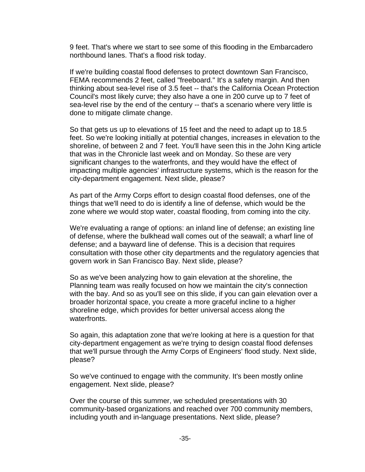9 feet. That's where we start to see some of this flooding in the Embarcadero northbound lanes. That's a flood risk today.

If we're building coastal flood defenses to protect downtown San Francisco, FEMA recommends 2 feet, called "freeboard." It's a safety margin. And then thinking about sea-level rise of 3.5 feet -- that's the California Ocean Protection Council's most likely curve; they also have a one in 200 curve up to 7 feet of sea-level rise by the end of the century -- that's a scenario where very little is done to mitigate climate change.

So that gets us up to elevations of 15 feet and the need to adapt up to 18.5 feet. So we're looking initially at potential changes, increases in elevation to the shoreline, of between 2 and 7 feet. You'll have seen this in the John King article that was in the Chronicle last week and on Monday. So these are very significant changes to the waterfronts, and they would have the effect of impacting multiple agencies' infrastructure systems, which is the reason for the city-department engagement. Next slide, please?

As part of the Army Corps effort to design coastal flood defenses, one of the things that we'll need to do is identify a line of defense, which would be the zone where we would stop water, coastal flooding, from coming into the city.

We're evaluating a range of options: an inland line of defense; an existing line of defense, where the bulkhead wall comes out of the seawall; a wharf line of defense; and a bayward line of defense. This is a decision that requires consultation with those other city departments and the regulatory agencies that govern work in San Francisco Bay. Next slide, please?

So as we've been analyzing how to gain elevation at the shoreline, the Planning team was really focused on how we maintain the city's connection with the bay. And so as you'll see on this slide, if you can gain elevation over a broader horizontal space, you create a more graceful incline to a higher shoreline edge, which provides for better universal access along the waterfronts.

So again, this adaptation zone that we're looking at here is a question for that city-department engagement as we're trying to design coastal flood defenses that we'll pursue through the Army Corps of Engineers' flood study. Next slide, please?

So we've continued to engage with the community. It's been mostly online engagement. Next slide, please?

Over the course of this summer, we scheduled presentations with 30 community-based organizations and reached over 700 community members, including youth and in-language presentations. Next slide, please?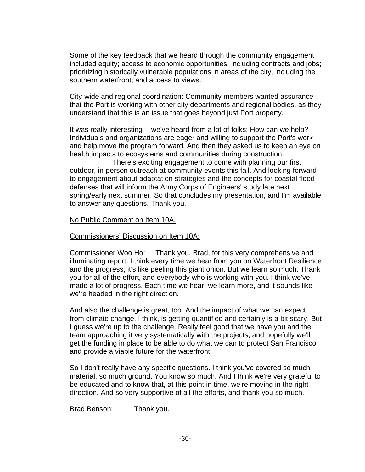Some of the key feedback that we heard through the community engagement included equity; access to economic opportunities, including contracts and jobs; prioritizing historically vulnerable populations in areas of the city, including the southern waterfront; and access to views.

City-wide and regional coordination: Community members wanted assurance that the Port is working with other city departments and regional bodies, as they understand that this is an issue that goes beyond just Port property.

It was really interesting -- we've heard from a lot of folks: How can we help? Individuals and organizations are eager and willing to support the Port's work and help move the program forward. And then they asked us to keep an eye on health impacts to ecosystems and communities during construction.

There's exciting engagement to come with planning our first outdoor, in-person outreach at community events this fall. And looking forward to engagement about adaptation strategies and the concepts for coastal flood defenses that will inform the Army Corps of Engineers' study late next spring/early next summer. So that concludes my presentation, and I'm available to answer any questions. Thank you.

#### No Public Comment on Item 10A.

# Commissioners' Discussion on Item 10A:

Commissioner Woo Ho: Thank you, Brad, for this very comprehensive and illuminating report. I think every time we hear from you on Waterfront Resilience and the progress, it's like peeling this giant onion. But we learn so much. Thank you for all of the effort, and everybody who is working with you. I think we've made a lot of progress. Each time we hear, we learn more, and it sounds like we're headed in the right direction.

And also the challenge is great, too. And the impact of what we can expect from climate change, I think, is getting quantified and certainly is a bit scary. But I guess we're up to the challenge. Really feel good that we have you and the team approaching it very systematically with the projects, and hopefully we'll get the funding in place to be able to do what we can to protect San Francisco and provide a viable future for the waterfront.

So I don't really have any specific questions. I think you've covered so much material, so much ground. You know so much. And I think we're very grateful to be educated and to know that, at this point in time, we're moving in the right direction. And so very supportive of all the efforts, and thank you so much.

Brad Benson: Thank you.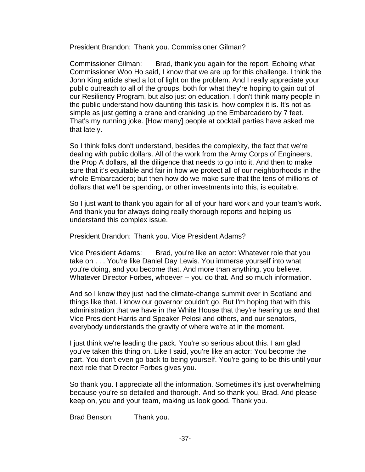President Brandon: Thank you. Commissioner Gilman?

Commissioner Gilman: Brad, thank you again for the report. Echoing what Commissioner Woo Ho said, I know that we are up for this challenge. I think the John King article shed a lot of light on the problem. And I really appreciate your public outreach to all of the groups, both for what they're hoping to gain out of our Resiliency Program, but also just on education. I don't think many people in the public understand how daunting this task is, how complex it is. It's not as simple as just getting a crane and cranking up the Embarcadero by 7 feet. That's my running joke. [How many] people at cocktail parties have asked me that lately.

So I think folks don't understand, besides the complexity, the fact that we're dealing with public dollars. All of the work from the Army Corps of Engineers, the Prop A dollars, all the diligence that needs to go into it. And then to make sure that it's equitable and fair in how we protect all of our neighborhoods in the whole Embarcadero; but then how do we make sure that the tens of millions of dollars that we'll be spending, or other investments into this, is equitable.

So I just want to thank you again for all of your hard work and your team's work. And thank you for always doing really thorough reports and helping us understand this complex issue.

President Brandon: Thank you. Vice President Adams?

Vice President Adams: Brad, you're like an actor: Whatever role that you take on . . . You're like Daniel Day Lewis. You immerse yourself into what you're doing, and you become that. And more than anything, you believe. Whatever Director Forbes, whoever -- you do that. And so much information.

And so I know they just had the climate-change summit over in Scotland and things like that. I know our governor couldn't go. But I'm hoping that with this administration that we have in the White House that they're hearing us and that Vice President Harris and Speaker Pelosi and others, and our senators, everybody understands the gravity of where we're at in the moment.

I just think we're leading the pack. You're so serious about this. I am glad you've taken this thing on. Like I said, you're like an actor: You become the part. You don't even go back to being yourself. You're going to be this until your next role that Director Forbes gives you.

So thank you. I appreciate all the information. Sometimes it's just overwhelming because you're so detailed and thorough. And so thank you, Brad. And please keep on, you and your team, making us look good. Thank you.

Brad Benson: Thank you.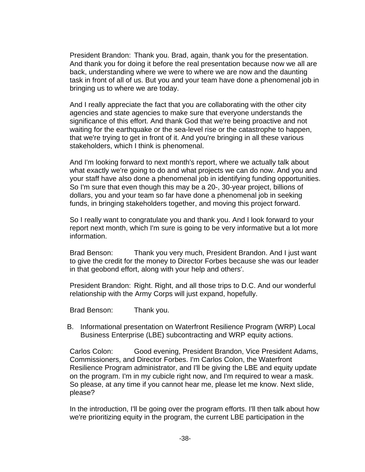President Brandon: Thank you. Brad, again, thank you for the presentation. And thank you for doing it before the real presentation because now we all are back, understanding where we were to where we are now and the daunting task in front of all of us. But you and your team have done a phenomenal job in bringing us to where we are today.

And I really appreciate the fact that you are collaborating with the other city agencies and state agencies to make sure that everyone understands the significance of this effort. And thank God that we're being proactive and not waiting for the earthquake or the sea-level rise or the catastrophe to happen, that we're trying to get in front of it. And you're bringing in all these various stakeholders, which I think is phenomenal.

And I'm looking forward to next month's report, where we actually talk about what exactly we're going to do and what projects we can do now. And you and your staff have also done a phenomenal job in identifying funding opportunities. So I'm sure that even though this may be a 20-, 30-year project, billions of dollars, you and your team so far have done a phenomenal job in seeking funds, in bringing stakeholders together, and moving this project forward.

So I really want to congratulate you and thank you. And I look forward to your report next month, which I'm sure is going to be very informative but a lot more information.

Brad Benson: Thank you very much, President Brandon. And I just want to give the credit for the money to Director Forbes because she was our leader in that geobond effort, along with your help and others'.

President Brandon: Right. Right, and all those trips to D.C. And our wonderful relationship with the Army Corps will just expand, hopefully.

Brad Benson: Thank you.

B. Informational presentation on Waterfront Resilience Program (WRP) Local Business Enterprise (LBE) subcontracting and WRP equity actions.

Carlos Colon: Good evening, President Brandon, Vice President Adams, Commissioners, and Director Forbes. I'm Carlos Colon, the Waterfront Resilience Program administrator, and I'll be giving the LBE and equity update on the program. I'm in my cubicle right now, and I'm required to wear a mask. So please, at any time if you cannot hear me, please let me know. Next slide, please?

In the introduction, I'll be going over the program efforts. I'll then talk about how we're prioritizing equity in the program, the current LBE participation in the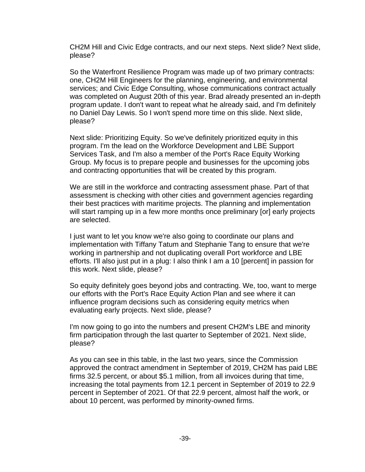CH2M Hill and Civic Edge contracts, and our next steps. Next slide? Next slide, please?

So the Waterfront Resilience Program was made up of two primary contracts: one, CH2M Hill Engineers for the planning, engineering, and environmental services; and Civic Edge Consulting, whose communications contract actually was completed on August 20th of this year. Brad already presented an in-depth program update. I don't want to repeat what he already said, and I'm definitely no Daniel Day Lewis. So I won't spend more time on this slide. Next slide, please?

Next slide: Prioritizing Equity. So we've definitely prioritized equity in this program. I'm the lead on the Workforce Development and LBE Support Services Task, and I'm also a member of the Port's Race Equity Working Group. My focus is to prepare people and businesses for the upcoming jobs and contracting opportunities that will be created by this program.

We are still in the workforce and contracting assessment phase. Part of that assessment is checking with other cities and government agencies regarding their best practices with maritime projects. The planning and implementation will start ramping up in a few more months once preliminary [or] early projects are selected.

I just want to let you know we're also going to coordinate our plans and implementation with Tiffany Tatum and Stephanie Tang to ensure that we're working in partnership and not duplicating overall Port workforce and LBE efforts. I'll also just put in a plug: I also think I am a 10 [percent] in passion for this work. Next slide, please?

So equity definitely goes beyond jobs and contracting. We, too, want to merge our efforts with the Port's Race Equity Action Plan and see where it can influence program decisions such as considering equity metrics when evaluating early projects. Next slide, please?

I'm now going to go into the numbers and present CH2M's LBE and minority firm participation through the last quarter to September of 2021. Next slide, please?

As you can see in this table, in the last two years, since the Commission approved the contract amendment in September of 2019, CH2M has paid LBE firms 32.5 percent, or about \$5.1 million, from all invoices during that time, increasing the total payments from 12.1 percent in September of 2019 to 22.9 percent in September of 2021. Of that 22.9 percent, almost half the work, or about 10 percent, was performed by minority-owned firms.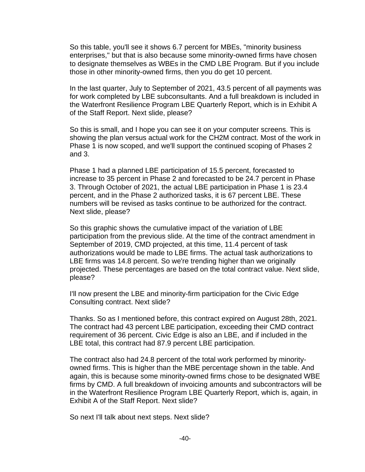So this table, you'll see it shows 6.7 percent for MBEs, "minority business enterprises," but that is also because some minority-owned firms have chosen to designate themselves as WBEs in the CMD LBE Program. But if you include those in other minority-owned firms, then you do get 10 percent.

In the last quarter, July to September of 2021, 43.5 percent of all payments was for work completed by LBE subconsultants. And a full breakdown is included in the Waterfront Resilience Program LBE Quarterly Report, which is in Exhibit A of the Staff Report. Next slide, please?

So this is small, and I hope you can see it on your computer screens. This is showing the plan versus actual work for the CH2M contract. Most of the work in Phase 1 is now scoped, and we'll support the continued scoping of Phases 2 and 3.

Phase 1 had a planned LBE participation of 15.5 percent, forecasted to increase to 35 percent in Phase 2 and forecasted to be 24.7 percent in Phase 3. Through October of 2021, the actual LBE participation in Phase 1 is 23.4 percent, and in the Phase 2 authorized tasks, it is 67 percent LBE. These numbers will be revised as tasks continue to be authorized for the contract. Next slide, please?

So this graphic shows the cumulative impact of the variation of LBE participation from the previous slide. At the time of the contract amendment in September of 2019, CMD projected, at this time, 11.4 percent of task authorizations would be made to LBE firms. The actual task authorizations to LBE firms was 14.8 percent. So we're trending higher than we originally projected. These percentages are based on the total contract value. Next slide, please?

I'll now present the LBE and minority-firm participation for the Civic Edge Consulting contract. Next slide?

Thanks. So as I mentioned before, this contract expired on August 28th, 2021. The contract had 43 percent LBE participation, exceeding their CMD contract requirement of 36 percent. Civic Edge is also an LBE, and if included in the LBE total, this contract had 87.9 percent LBE participation.

The contract also had 24.8 percent of the total work performed by minorityowned firms. This is higher than the MBE percentage shown in the table. And again, this is because some minority-owned firms chose to be designated WBE firms by CMD. A full breakdown of invoicing amounts and subcontractors will be in the Waterfront Resilience Program LBE Quarterly Report, which is, again, in Exhibit A of the Staff Report. Next slide?

So next I'll talk about next steps. Next slide?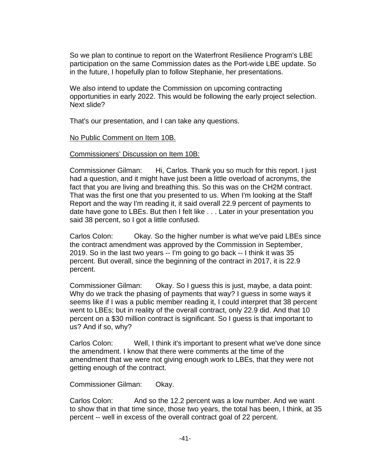So we plan to continue to report on the Waterfront Resilience Program's LBE participation on the same Commission dates as the Port-wide LBE update. So in the future, I hopefully plan to follow Stephanie, her presentations.

We also intend to update the Commission on upcoming contracting opportunities in early 2022. This would be following the early project selection. Next slide?

That's our presentation, and I can take any questions.

#### No Public Comment on Item 10B.

#### Commissioners' Discussion on Item 10B:

Commissioner Gilman: Hi, Carlos. Thank you so much for this report. I just had a question, and it might have just been a little overload of acronyms, the fact that you are living and breathing this. So this was on the CH2M contract. That was the first one that you presented to us. When I'm looking at the Staff Report and the way I'm reading it, it said overall 22.9 percent of payments to date have gone to LBEs. But then I felt like . . . Later in your presentation you said 38 percent, so I got a little confused.

Carlos Colon: Okay. So the higher number is what we've paid LBEs since the contract amendment was approved by the Commission in September, 2019. So in the last two years -- I'm going to go back -- I think it was 35 percent. But overall, since the beginning of the contract in 2017, it is 22.9 percent.

Commissioner Gilman: Okay. So I guess this is just, maybe, a data point: Why do we track the phasing of payments that way? I guess in some ways it seems like if I was a public member reading it, I could interpret that 38 percent went to LBEs; but in reality of the overall contract, only 22.9 did. And that 10 percent on a \$30 million contract is significant. So I guess is that important to us? And if so, why?

Carlos Colon: Well, I think it's important to present what we've done since the amendment. I know that there were comments at the time of the amendment that we were not giving enough work to LBEs, that they were not getting enough of the contract.

Commissioner Gilman: Okay.

Carlos Colon: And so the 12.2 percent was a low number. And we want to show that in that time since, those two years, the total has been, I think, at 35 percent -- well in excess of the overall contract goal of 22 percent.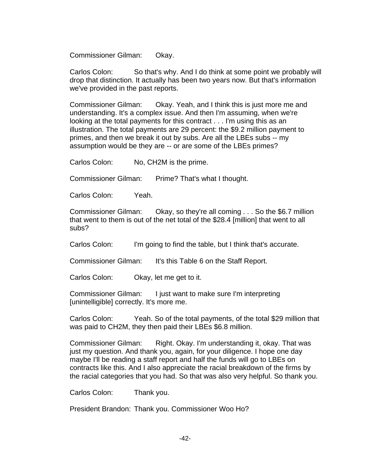Commissioner Gilman: Okay.

Carlos Colon: So that's why. And I do think at some point we probably will drop that distinction. It actually has been two years now. But that's information we've provided in the past reports.

Commissioner Gilman: Okay. Yeah, and I think this is just more me and understanding. It's a complex issue. And then I'm assuming, when we're looking at the total payments for this contract . . . I'm using this as an illustration. The total payments are 29 percent: the \$9.2 million payment to primes, and then we break it out by subs. Are all the LBEs subs -- my assumption would be they are -- or are some of the LBEs primes?

Carlos Colon: No, CH2M is the prime.

Commissioner Gilman: Prime? That's what I thought.

Carlos Colon: Yeah.

Commissioner Gilman: Okay, so they're all coming . . . So the \$6.7 million that went to them is out of the net total of the \$28.4 [million] that went to all subs?

Carlos Colon: I'm going to find the table, but I think that's accurate.

Commissioner Gilman: It's this Table 6 on the Staff Report.

Carlos Colon: Okay, let me get to it.

Commissioner Gilman: I just want to make sure I'm interpreting [unintelligible] correctly. It's more me.

Carlos Colon: Yeah. So of the total payments, of the total \$29 million that was paid to CH2M, they then paid their LBEs \$6.8 million.

Commissioner Gilman: Right. Okay. I'm understanding it, okay. That was just my question. And thank you, again, for your diligence. I hope one day maybe I'll be reading a staff report and half the funds will go to LBEs on contracts like this. And I also appreciate the racial breakdown of the firms by the racial categories that you had. So that was also very helpful. So thank you.

Carlos Colon: Thank you.

President Brandon: Thank you. Commissioner Woo Ho?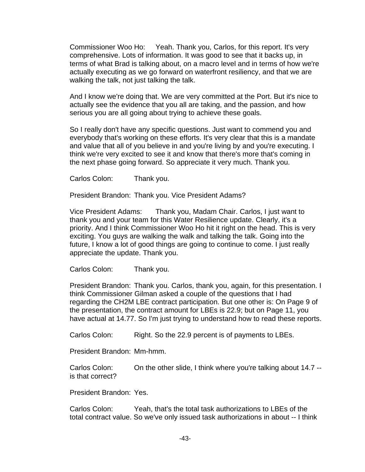Commissioner Woo Ho: Yeah. Thank you, Carlos, for this report. It's very comprehensive. Lots of information. It was good to see that it backs up, in terms of what Brad is talking about, on a macro level and in terms of how we're actually executing as we go forward on waterfront resiliency, and that we are walking the talk, not just talking the talk.

And I know we're doing that. We are very committed at the Port. But it's nice to actually see the evidence that you all are taking, and the passion, and how serious you are all going about trying to achieve these goals.

So I really don't have any specific questions. Just want to commend you and everybody that's working on these efforts. It's very clear that this is a mandate and value that all of you believe in and you're living by and you're executing. I think we're very excited to see it and know that there's more that's coming in the next phase going forward. So appreciate it very much. Thank you.

Carlos Colon: Thank you.

President Brandon: Thank you. Vice President Adams?

Vice President Adams: Thank you, Madam Chair. Carlos, I just want to thank you and your team for this Water Resilience update. Clearly, it's a priority. And I think Commissioner Woo Ho hit it right on the head. This is very exciting. You guys are walking the walk and talking the talk. Going into the future, I know a lot of good things are going to continue to come. I just really appreciate the update. Thank you.

Carlos Colon: Thank you.

President Brandon: Thank you. Carlos, thank you, again, for this presentation. I think Commissioner Gilman asked a couple of the questions that I had regarding the CH2M LBE contract participation. But one other is: On Page 9 of the presentation, the contract amount for LBEs is 22.9; but on Page 11, you have actual at 14.77. So I'm just trying to understand how to read these reports.

Carlos Colon: Right. So the 22.9 percent is of payments to LBEs.

President Brandon: Mm-hmm.

Carlos Colon: On the other slide, I think where you're talking about 14.7 - is that correct?

President Brandon: Yes.

Carlos Colon: Yeah, that's the total task authorizations to LBEs of the total contract value. So we've only issued task authorizations in about -- I think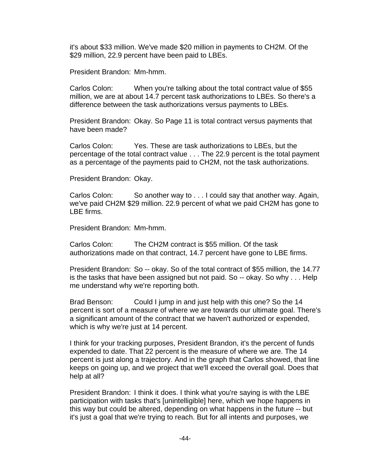it's about \$33 million. We've made \$20 million in payments to CH2M. Of the \$29 million, 22.9 percent have been paid to LBEs.

President Brandon: Mm-hmm.

Carlos Colon: When you're talking about the total contract value of \$55 million, we are at about 14.7 percent task authorizations to LBEs. So there's a difference between the task authorizations versus payments to LBEs.

President Brandon: Okay. So Page 11 is total contract versus payments that have been made?

Carlos Colon: Yes. These are task authorizations to LBEs, but the percentage of the total contract value . . . The 22.9 percent is the total payment as a percentage of the payments paid to CH2M, not the task authorizations.

President Brandon: Okay.

Carlos Colon: So another way to . . . I could say that another way. Again, we've paid CH2M \$29 million. 22.9 percent of what we paid CH2M has gone to LBE firms.

President Brandon: Mm-hmm.

Carlos Colon: The CH2M contract is \$55 million. Of the task authorizations made on that contract, 14.7 percent have gone to LBE firms.

President Brandon: So -- okay. So of the total contract of \$55 million, the 14.77 is the tasks that have been assigned but not paid. So -- okay. So why . . . Help me understand why we're reporting both.

Brad Benson: Could I jump in and just help with this one? So the 14 percent is sort of a measure of where we are towards our ultimate goal. There's a significant amount of the contract that we haven't authorized or expended, which is why we're just at 14 percent.

I think for your tracking purposes, President Brandon, it's the percent of funds expended to date. That 22 percent is the measure of where we are. The 14 percent is just along a trajectory. And in the graph that Carlos showed, that line keeps on going up, and we project that we'll exceed the overall goal. Does that help at all?

President Brandon: I think it does. I think what you're saying is with the LBE participation with tasks that's [unintelligible] here, which we hope happens in this way but could be altered, depending on what happens in the future -- but it's just a goal that we're trying to reach. But for all intents and purposes, we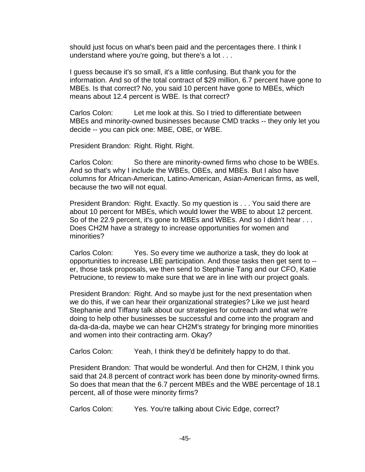should just focus on what's been paid and the percentages there. I think I understand where you're going, but there's a lot . . .

I guess because it's so small, it's a little confusing. But thank you for the information. And so of the total contract of \$29 million, 6.7 percent have gone to MBEs. Is that correct? No, you said 10 percent have gone to MBEs, which means about 12.4 percent is WBE. Is that correct?

Carlos Colon: Let me look at this. So I tried to differentiate between MBEs and minority-owned businesses because CMD tracks -- they only let you decide -- you can pick one: MBE, OBE, or WBE.

President Brandon: Right. Right. Right.

Carlos Colon: So there are minority-owned firms who chose to be WBEs. And so that's why I include the WBEs, OBEs, and MBEs. But I also have columns for African-American, Latino-American, Asian-American firms, as well, because the two will not equal.

President Brandon: Right. Exactly. So my question is . . . You said there are about 10 percent for MBEs, which would lower the WBE to about 12 percent. So of the 22.9 percent, it's gone to MBEs and WBEs. And so I didn't hear . . . Does CH2M have a strategy to increase opportunities for women and minorities?

Carlos Colon: Yes. So every time we authorize a task, they do look at opportunities to increase LBE participation. And those tasks then get sent to - er, those task proposals, we then send to Stephanie Tang and our CFO, Katie Petrucione, to review to make sure that we are in line with our project goals.

President Brandon: Right. And so maybe just for the next presentation when we do this, if we can hear their organizational strategies? Like we just heard Stephanie and Tiffany talk about our strategies for outreach and what we're doing to help other businesses be successful and come into the program and da-da-da-da, maybe we can hear CH2M's strategy for bringing more minorities and women into their contracting arm. Okay?

Carlos Colon: Yeah, I think they'd be definitely happy to do that.

President Brandon: That would be wonderful. And then for CH2M, I think you said that 24.8 percent of contract work has been done by minority-owned firms. So does that mean that the 6.7 percent MBEs and the WBE percentage of 18.1 percent, all of those were minority firms?

Carlos Colon: Yes. You're talking about Civic Edge, correct?